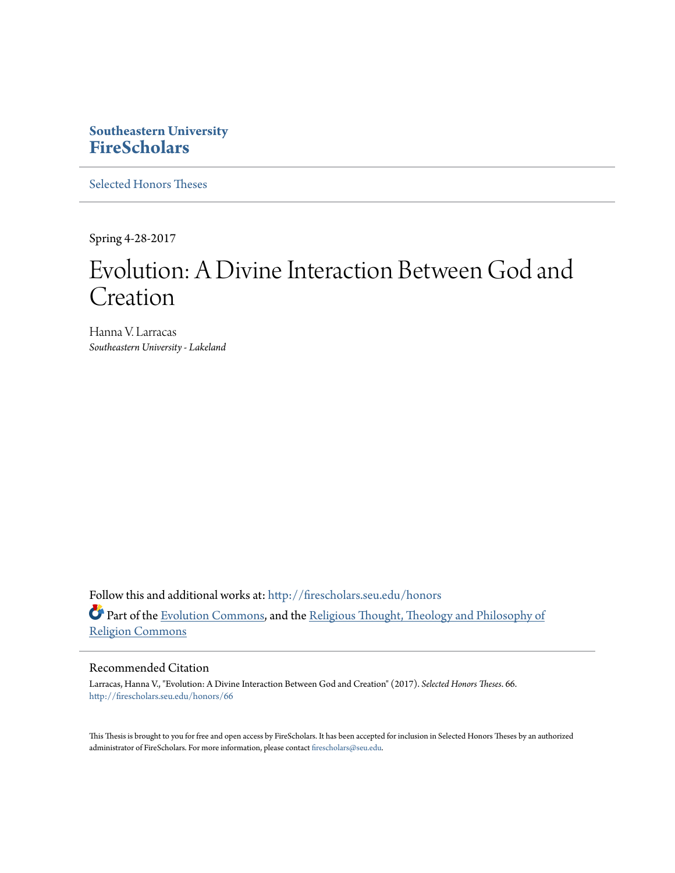# **Southeastern University [FireScholars](http://firescholars.seu.edu?utm_source=firescholars.seu.edu%2Fhonors%2F66&utm_medium=PDF&utm_campaign=PDFCoverPages)**

[Selected Honors Theses](http://firescholars.seu.edu/honors?utm_source=firescholars.seu.edu%2Fhonors%2F66&utm_medium=PDF&utm_campaign=PDFCoverPages)

Spring 4-28-2017

# Evolution: A Divine Interaction Between God and Creation

Hanna V. Larracas *Southeastern University - Lakeland*

Follow this and additional works at: [http://firescholars.seu.edu/honors](http://firescholars.seu.edu/honors?utm_source=firescholars.seu.edu%2Fhonors%2F66&utm_medium=PDF&utm_campaign=PDFCoverPages) Part of the [Evolution Commons,](http://network.bepress.com/hgg/discipline/18?utm_source=firescholars.seu.edu%2Fhonors%2F66&utm_medium=PDF&utm_campaign=PDFCoverPages) and the [Religious Thought, Theology and Philosophy of](http://network.bepress.com/hgg/discipline/544?utm_source=firescholars.seu.edu%2Fhonors%2F66&utm_medium=PDF&utm_campaign=PDFCoverPages) [Religion Commons](http://network.bepress.com/hgg/discipline/544?utm_source=firescholars.seu.edu%2Fhonors%2F66&utm_medium=PDF&utm_campaign=PDFCoverPages)

# Recommended Citation

Larracas, Hanna V., "Evolution: A Divine Interaction Between God and Creation" (2017). *Selected Honors Theses*. 66. [http://firescholars.seu.edu/honors/66](http://firescholars.seu.edu/honors/66?utm_source=firescholars.seu.edu%2Fhonors%2F66&utm_medium=PDF&utm_campaign=PDFCoverPages)

This Thesis is brought to you for free and open access by FireScholars. It has been accepted for inclusion in Selected Honors Theses by an authorized administrator of FireScholars. For more information, please contact [firescholars@seu.edu](mailto:firescholars@seu.edu).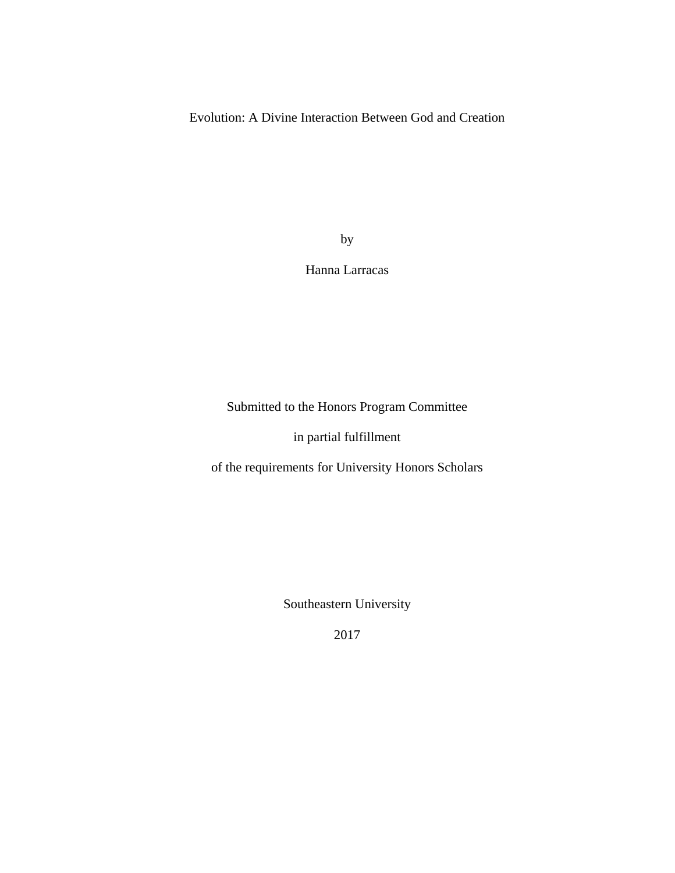Evolution: A Divine Interaction Between God and Creation

by

# Hanna Larracas

Submitted to the Honors Program Committee

in partial fulfillment

of the requirements for University Honors Scholars

Southeastern University

2017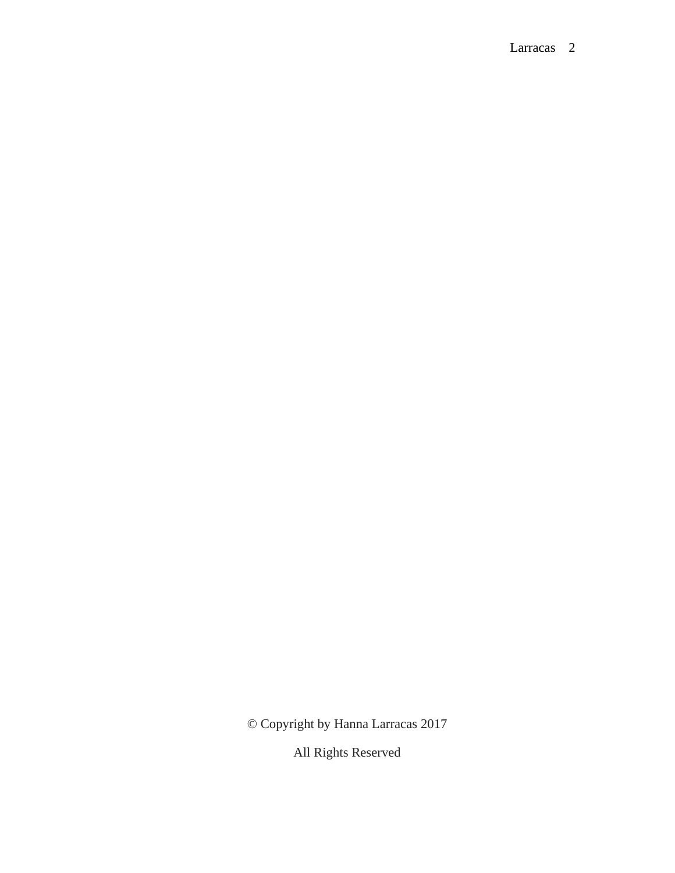© Copyright by Hanna Larracas 2017

All Rights Reserved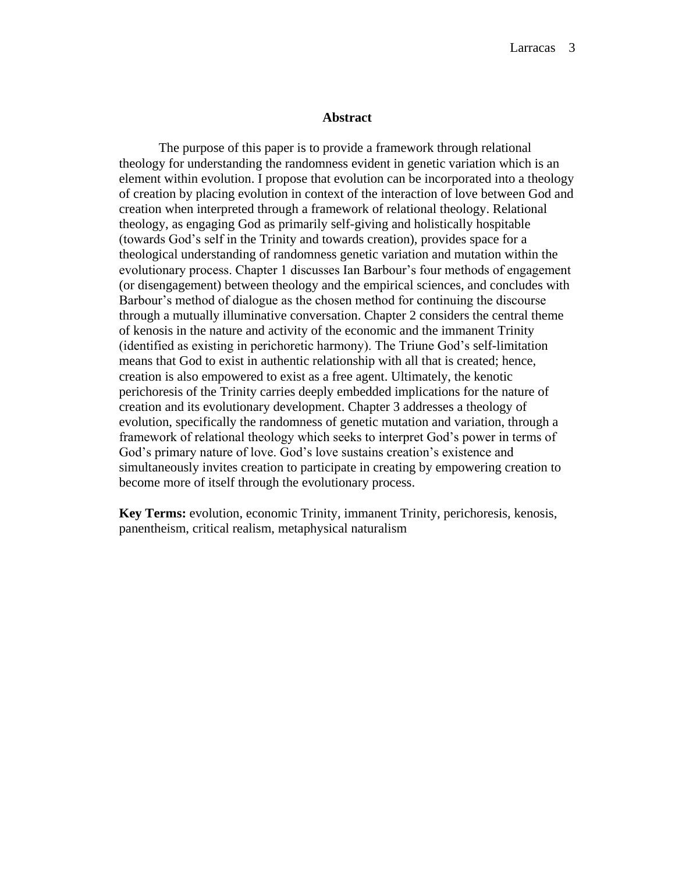#### **Abstract**

The purpose of this paper is to provide a framework through relational theology for understanding the randomness evident in genetic variation which is an element within evolution. I propose that evolution can be incorporated into a theology of creation by placing evolution in context of the interaction of love between God and creation when interpreted through a framework of relational theology. Relational theology, as engaging God as primarily self-giving and holistically hospitable (towards God's self in the Trinity and towards creation), provides space for a theological understanding of randomness genetic variation and mutation within the evolutionary process. Chapter 1 discusses Ian Barbour's four methods of engagement (or disengagement) between theology and the empirical sciences, and concludes with Barbour's method of dialogue as the chosen method for continuing the discourse through a mutually illuminative conversation. Chapter 2 considers the central theme of kenosis in the nature and activity of the economic and the immanent Trinity (identified as existing in perichoretic harmony). The Triune God's self-limitation means that God to exist in authentic relationship with all that is created; hence, creation is also empowered to exist as a free agent. Ultimately, the kenotic perichoresis of the Trinity carries deeply embedded implications for the nature of creation and its evolutionary development. Chapter 3 addresses a theology of evolution, specifically the randomness of genetic mutation and variation, through a framework of relational theology which seeks to interpret God's power in terms of God's primary nature of love. God's love sustains creation's existence and simultaneously invites creation to participate in creating by empowering creation to become more of itself through the evolutionary process.

**Key Terms:** evolution, economic Trinity, immanent Trinity, perichoresis, kenosis, panentheism, critical realism, metaphysical naturalism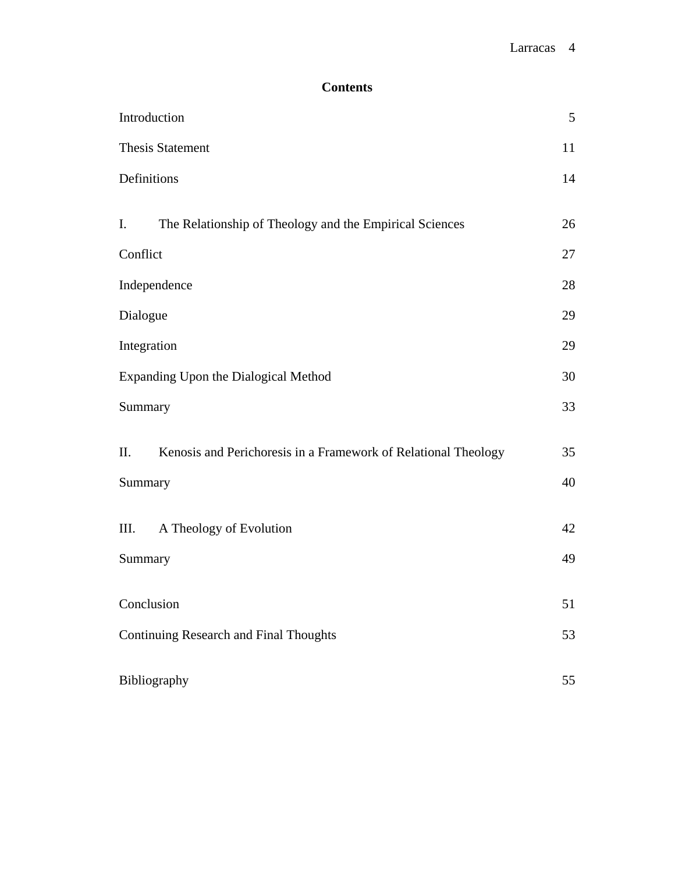# **Contents**

| Introduction                                                          | $\mathfrak s$ |
|-----------------------------------------------------------------------|---------------|
| <b>Thesis Statement</b>                                               | 11            |
| Definitions                                                           | 14            |
| I.<br>The Relationship of Theology and the Empirical Sciences         | 26            |
| Conflict                                                              | 27            |
| Independence                                                          | 28            |
| Dialogue                                                              | 29            |
| Integration                                                           | 29            |
| Expanding Upon the Dialogical Method                                  | 30            |
| Summary                                                               | 33            |
| II.<br>Kenosis and Perichoresis in a Framework of Relational Theology | 35            |
| Summary                                                               | 40            |
| III.<br>A Theology of Evolution                                       | 42            |
| Summary                                                               | 49            |
| Conclusion                                                            | 51            |
| <b>Continuing Research and Final Thoughts</b>                         | 53            |
| Bibliography                                                          | 55            |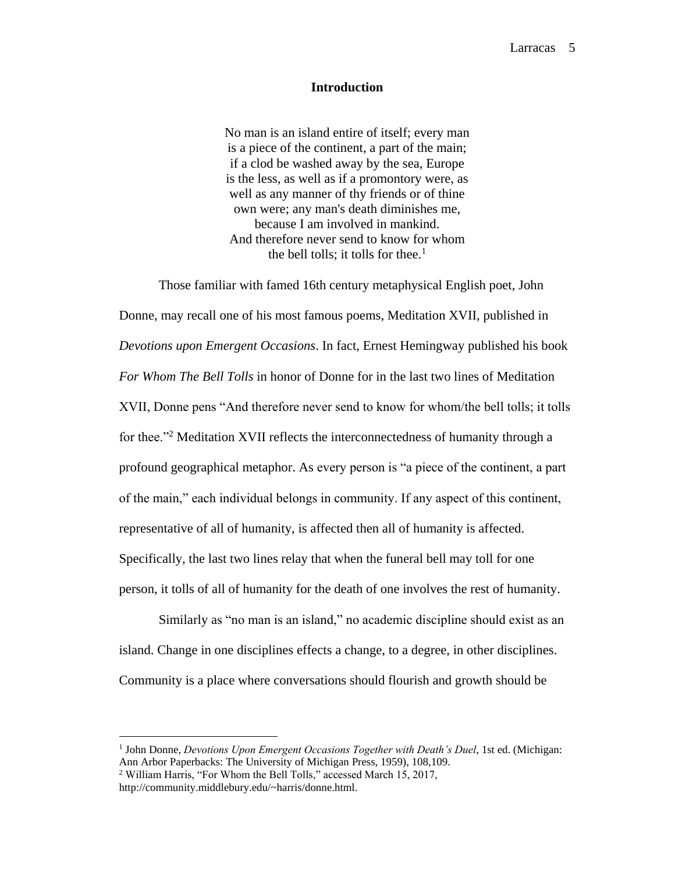# **Introduction**

No man is an island entire of itself; every man is a piece of the continent, a part of the main; if a clod be washed away by the sea, Europe is the less, as well as if a promontory were, as well as any manner of thy friends or of thine own were; any man's death diminishes me, because I am involved in mankind. And therefore never send to know for whom the bell tolls; it tolls for thee.<sup>1</sup>

Those familiar with famed 16th century metaphysical English poet, John Donne, may recall one of his most famous poems, Meditation XVII, published in *Devotions upon Emergent Occasions*. In fact, Ernest Hemingway published his book *For Whom The Bell Tolls* in honor of Donne for in the last two lines of Meditation XVII, Donne pens "And therefore never send to know for whom/the bell tolls; it tolls for thee."<sup>2</sup> Meditation XVII reflects the interconnectedness of humanity through a profound geographical metaphor. As every person is "a piece of the continent, a part of the main," each individual belongs in community. If any aspect of this continent, representative of all of humanity, is affected then all of humanity is affected. Specifically, the last two lines relay that when the funeral bell may toll for one person, it tolls of all of humanity for the death of one involves the rest of humanity.

Similarly as "no man is an island," no academic discipline should exist as an island. Change in one disciplines effects a change, to a degree, in other disciplines. Community is a place where conversations should flourish and growth should be

<sup>&</sup>lt;sup>1</sup> John Donne, *Devotions Upon Emergent Occasions Together with Death's Duel*, 1st ed. (Michigan: Ann Arbor Paperbacks: The University of Michigan Press, 1959), 108,109.

<sup>2</sup> William Harris, "For Whom the Bell Tolls," accessed March 15, 2017, http://community.middlebury.edu/~harris/donne.html.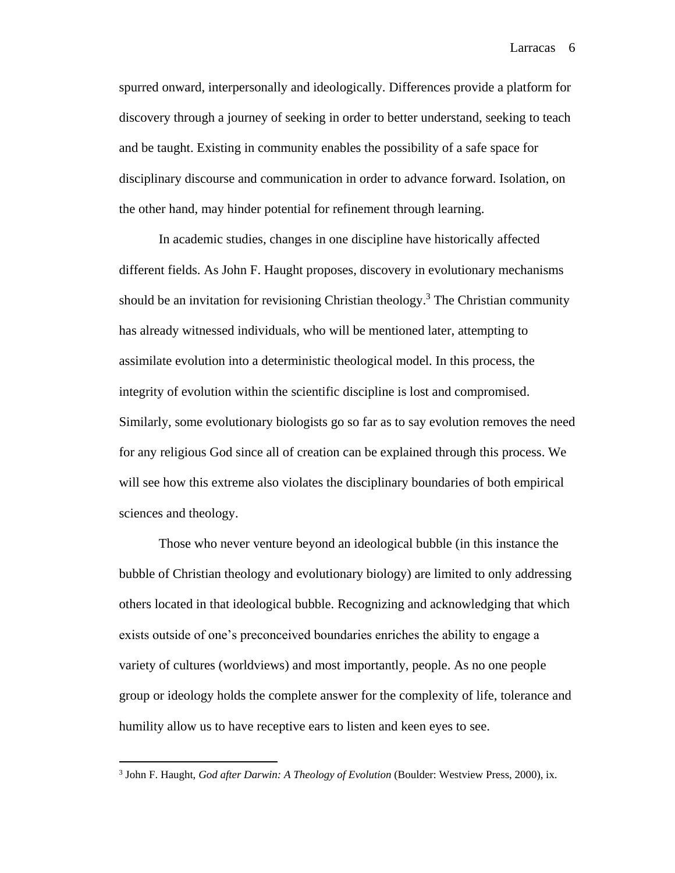spurred onward, interpersonally and ideologically. Differences provide a platform for discovery through a journey of seeking in order to better understand, seeking to teach and be taught. Existing in community enables the possibility of a safe space for disciplinary discourse and communication in order to advance forward. Isolation, on the other hand, may hinder potential for refinement through learning.

In academic studies, changes in one discipline have historically affected different fields. As John F. Haught proposes, discovery in evolutionary mechanisms should be an invitation for revisioning Christian theology.<sup>3</sup> The Christian community has already witnessed individuals, who will be mentioned later, attempting to assimilate evolution into a deterministic theological model. In this process, the integrity of evolution within the scientific discipline is lost and compromised. Similarly, some evolutionary biologists go so far as to say evolution removes the need for any religious God since all of creation can be explained through this process. We will see how this extreme also violates the disciplinary boundaries of both empirical sciences and theology.

Those who never venture beyond an ideological bubble (in this instance the bubble of Christian theology and evolutionary biology) are limited to only addressing others located in that ideological bubble. Recognizing and acknowledging that which exists outside of one's preconceived boundaries enriches the ability to engage a variety of cultures (worldviews) and most importantly, people. As no one people group or ideology holds the complete answer for the complexity of life, tolerance and humility allow us to have receptive ears to listen and keen eyes to see.

<sup>3</sup> John F. Haught, *God after Darwin: A Theology of Evolution* (Boulder: Westview Press, 2000), ix.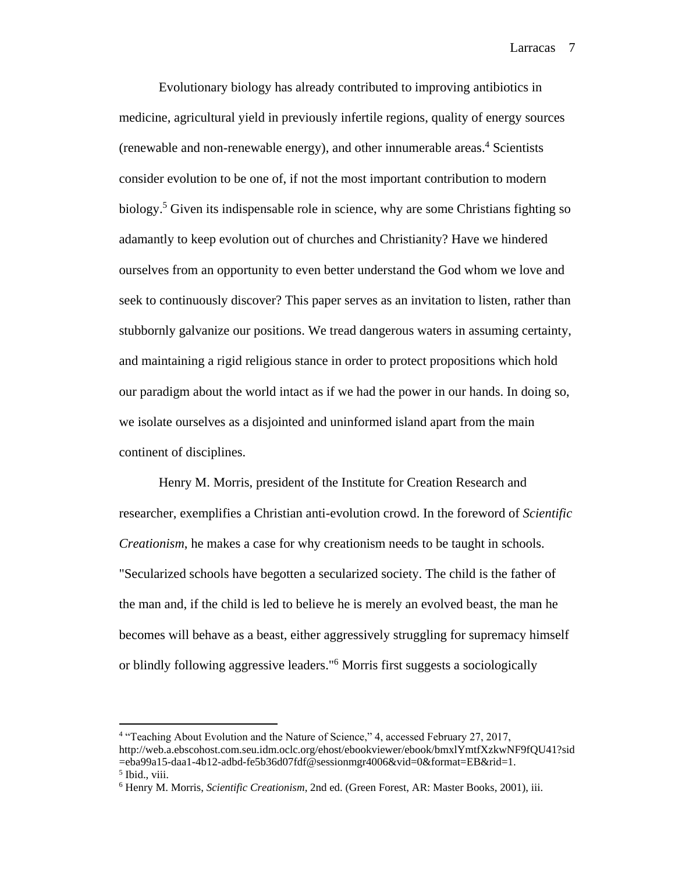Evolutionary biology has already contributed to improving antibiotics in medicine, agricultural yield in previously infertile regions, quality of energy sources (renewable and non-renewable energy), and other innumerable areas.<sup>4</sup> Scientists consider evolution to be one of, if not the most important contribution to modern biology.<sup>5</sup> Given its indispensable role in science, why are some Christians fighting so adamantly to keep evolution out of churches and Christianity? Have we hindered ourselves from an opportunity to even better understand the God whom we love and seek to continuously discover? This paper serves as an invitation to listen, rather than stubbornly galvanize our positions. We tread dangerous waters in assuming certainty, and maintaining a rigid religious stance in order to protect propositions which hold our paradigm about the world intact as if we had the power in our hands. In doing so, we isolate ourselves as a disjointed and uninformed island apart from the main continent of disciplines.

Henry M. Morris, president of the Institute for Creation Research and researcher, exemplifies a Christian anti-evolution crowd. In the foreword of *Scientific Creationism*, he makes a case for why creationism needs to be taught in schools. "Secularized schools have begotten a secularized society. The child is the father of the man and, if the child is led to believe he is merely an evolved beast, the man he becomes will behave as a beast, either aggressively struggling for supremacy himself or blindly following aggressive leaders."<sup>6</sup> Morris first suggests a sociologically

<sup>&</sup>lt;sup>4</sup> "Teaching About Evolution and the Nature of Science," 4, accessed February 27, 2017, http://web.a.ebscohost.com.seu.idm.oclc.org/ehost/ebookviewer/ebook/bmxlYmtfXzkwNF9fQU41?sid =eba99a15-daa1-4b12-adbd-fe5b36d07fdf@sessionmgr4006&vid=0&format=EB&rid=1. 5 Ibid., viii.

<sup>6</sup> Henry M. Morris, *Scientific Creationism*, 2nd ed. (Green Forest, AR: Master Books, 2001), iii.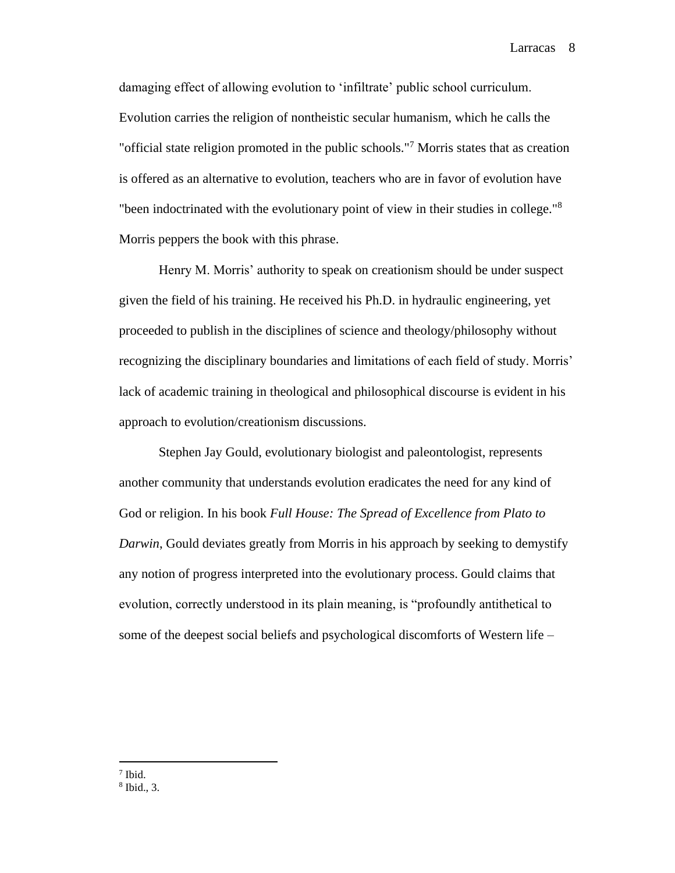damaging effect of allowing evolution to 'infiltrate' public school curriculum. Evolution carries the religion of nontheistic secular humanism, which he calls the "official state religion promoted in the public schools."<sup>7</sup> Morris states that as creation is offered as an alternative to evolution, teachers who are in favor of evolution have "been indoctrinated with the evolutionary point of view in their studies in college."<sup>8</sup> Morris peppers the book with this phrase.

Henry M. Morris' authority to speak on creationism should be under suspect given the field of his training. He received his Ph.D. in hydraulic engineering, yet proceeded to publish in the disciplines of science and theology/philosophy without recognizing the disciplinary boundaries and limitations of each field of study. Morris' lack of academic training in theological and philosophical discourse is evident in his approach to evolution/creationism discussions.

Stephen Jay Gould, evolutionary biologist and paleontologist, represents another community that understands evolution eradicates the need for any kind of God or religion. In his book *Full House: The Spread of Excellence from Plato to Darwin*, Gould deviates greatly from Morris in his approach by seeking to demystify any notion of progress interpreted into the evolutionary process. Gould claims that evolution, correctly understood in its plain meaning, is "profoundly antithetical to some of the deepest social beliefs and psychological discomforts of Western life –

<sup>7</sup> Ibid.

<sup>8</sup> Ibid., 3.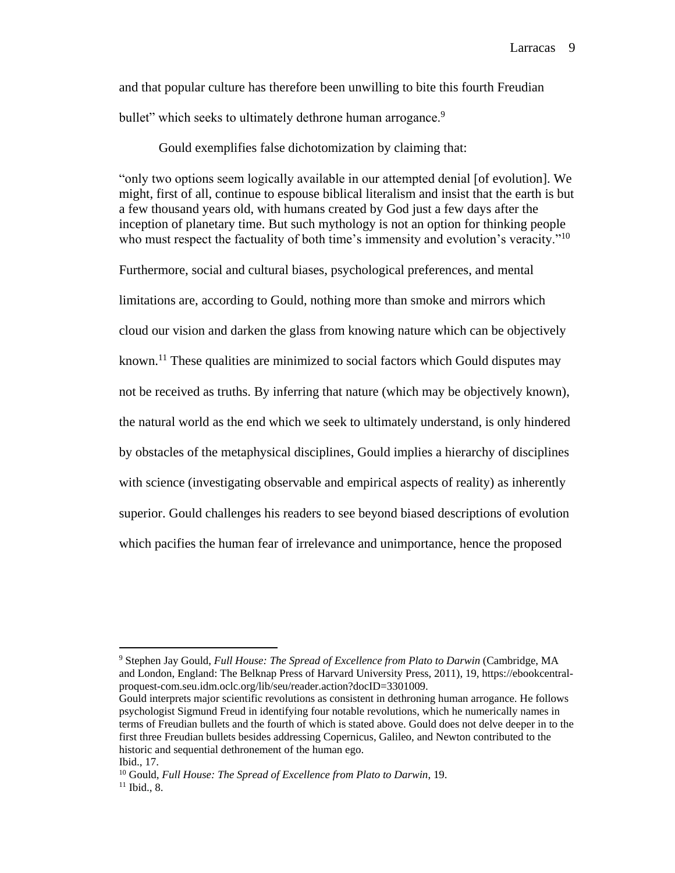and that popular culture has therefore been unwilling to bite this fourth Freudian bullet" which seeks to ultimately dethrone human arrogance.<sup>9</sup>

Gould exemplifies false dichotomization by claiming that:

"only two options seem logically available in our attempted denial [of evolution]. We might, first of all, continue to espouse biblical literalism and insist that the earth is but a few thousand years old, with humans created by God just a few days after the inception of planetary time. But such mythology is not an option for thinking people who must respect the factuality of both time's immensity and evolution's veracity."<sup>10</sup>

Furthermore, social and cultural biases, psychological preferences, and mental limitations are, according to Gould, nothing more than smoke and mirrors which cloud our vision and darken the glass from knowing nature which can be objectively known.<sup>11</sup> These qualities are minimized to social factors which Gould disputes may not be received as truths. By inferring that nature (which may be objectively known), the natural world as the end which we seek to ultimately understand, is only hindered by obstacles of the metaphysical disciplines, Gould implies a hierarchy of disciplines with science (investigating observable and empirical aspects of reality) as inherently superior. Gould challenges his readers to see beyond biased descriptions of evolution which pacifies the human fear of irrelevance and unimportance, hence the proposed

<sup>9</sup> Stephen Jay Gould, *Full House: The Spread of Excellence from Plato to Darwin* (Cambridge, MA and London, England: The Belknap Press of Harvard University Press, 2011), 19, https://ebookcentralproquest-com.seu.idm.oclc.org/lib/seu/reader.action?docID=3301009.

Gould interprets major scientific revolutions as consistent in dethroning human arrogance. He follows psychologist Sigmund Freud in identifying four notable revolutions, which he numerically names in terms of Freudian bullets and the fourth of which is stated above. Gould does not delve deeper in to the first three Freudian bullets besides addressing Copernicus, Galileo, and Newton contributed to the historic and sequential dethronement of the human ego.

Ibid., 17.

<sup>10</sup> Gould, *Full House: The Spread of Excellence from Plato to Darwin*, 19.  $11$  Ibid., 8.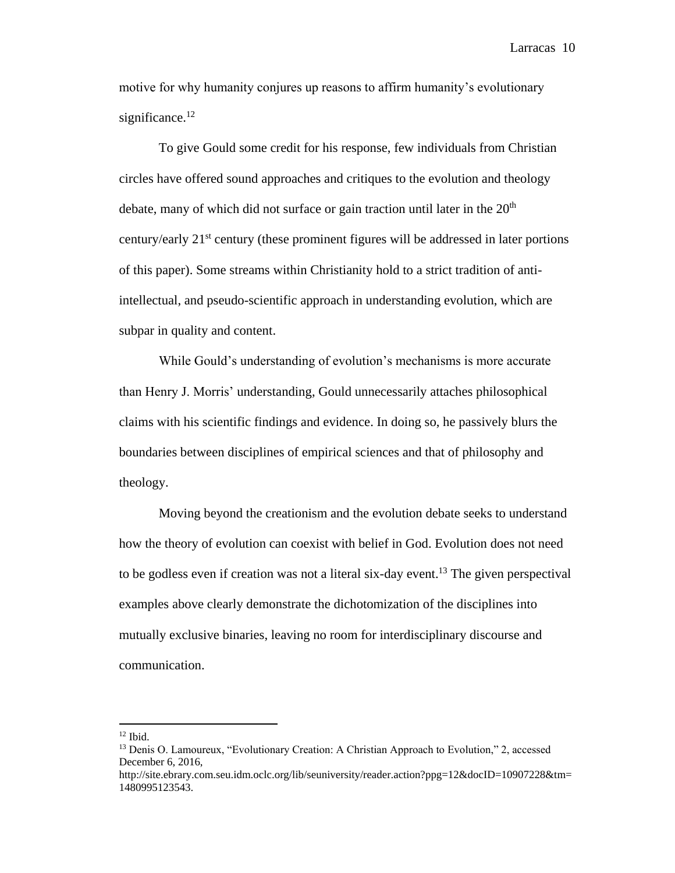motive for why humanity conjures up reasons to affirm humanity's evolutionary significance. $12$ 

To give Gould some credit for his response, few individuals from Christian circles have offered sound approaches and critiques to the evolution and theology debate, many of which did not surface or gain traction until later in the  $20<sup>th</sup>$ century/early 21st century (these prominent figures will be addressed in later portions of this paper). Some streams within Christianity hold to a strict tradition of antiintellectual, and pseudo-scientific approach in understanding evolution, which are subpar in quality and content.

While Gould's understanding of evolution's mechanisms is more accurate than Henry J. Morris' understanding, Gould unnecessarily attaches philosophical claims with his scientific findings and evidence. In doing so, he passively blurs the boundaries between disciplines of empirical sciences and that of philosophy and theology.

Moving beyond the creationism and the evolution debate seeks to understand how the theory of evolution can coexist with belief in God. Evolution does not need to be godless even if creation was not a literal six-day event.<sup>13</sup> The given perspectival examples above clearly demonstrate the dichotomization of the disciplines into mutually exclusive binaries, leaving no room for interdisciplinary discourse and communication.

 $12$  Ibid.

<sup>&</sup>lt;sup>13</sup> Denis O. Lamoureux, "Evolutionary Creation: A Christian Approach to Evolution," 2, accessed December 6, 2016,

http://site.ebrary.com.seu.idm.oclc.org/lib/seuniversity/reader.action?ppg=12&docID=10907228&tm= 1480995123543.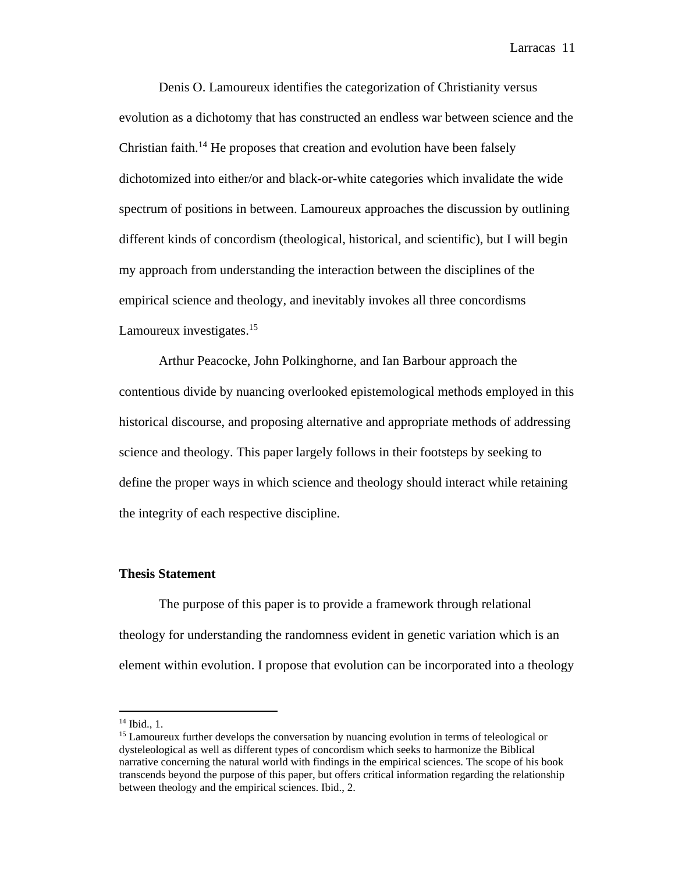Denis O. Lamoureux identifies the categorization of Christianity versus evolution as a dichotomy that has constructed an endless war between science and the Christian faith.<sup>14</sup> He proposes that creation and evolution have been falsely dichotomized into either/or and black-or-white categories which invalidate the wide spectrum of positions in between. Lamoureux approaches the discussion by outlining different kinds of concordism (theological, historical, and scientific), but I will begin my approach from understanding the interaction between the disciplines of the empirical science and theology, and inevitably invokes all three concordisms Lamoureux investigates.<sup>15</sup>

Arthur Peacocke, John Polkinghorne, and Ian Barbour approach the contentious divide by nuancing overlooked epistemological methods employed in this historical discourse, and proposing alternative and appropriate methods of addressing science and theology. This paper largely follows in their footsteps by seeking to define the proper ways in which science and theology should interact while retaining the integrity of each respective discipline.

### **Thesis Statement**

The purpose of this paper is to provide a framework through relational theology for understanding the randomness evident in genetic variation which is an element within evolution. I propose that evolution can be incorporated into a theology

<sup>14</sup> Ibid., 1.

<sup>&</sup>lt;sup>15</sup> Lamoureux further develops the conversation by nuancing evolution in terms of teleological or dysteleological as well as different types of concordism which seeks to harmonize the Biblical narrative concerning the natural world with findings in the empirical sciences. The scope of his book transcends beyond the purpose of this paper, but offers critical information regarding the relationship between theology and the empirical sciences. Ibid., 2.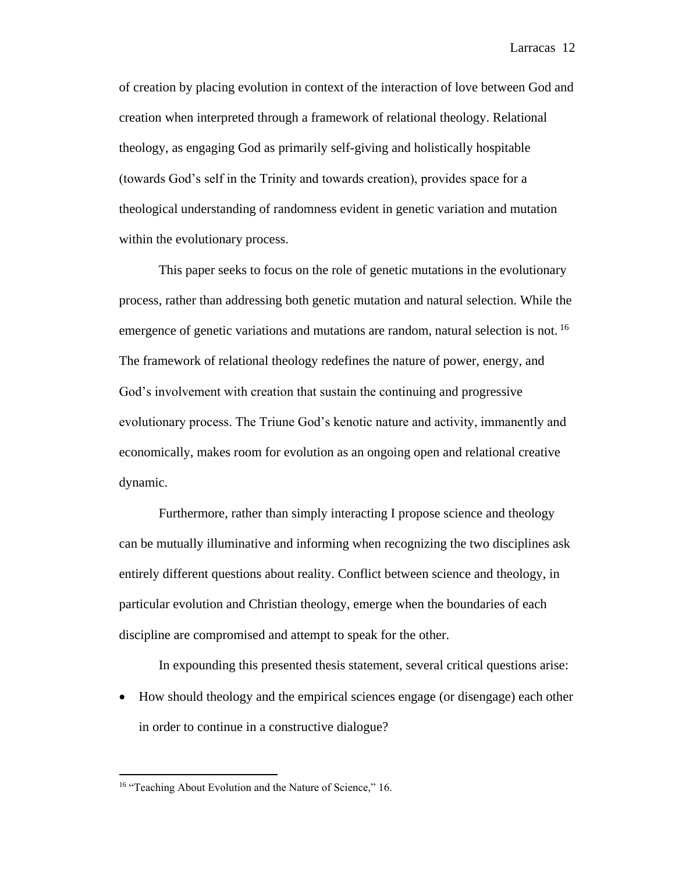of creation by placing evolution in context of the interaction of love between God and creation when interpreted through a framework of relational theology. Relational theology, as engaging God as primarily self-giving and holistically hospitable (towards God's self in the Trinity and towards creation), provides space for a theological understanding of randomness evident in genetic variation and mutation within the evolutionary process.

This paper seeks to focus on the role of genetic mutations in the evolutionary process, rather than addressing both genetic mutation and natural selection. While the emergence of genetic variations and mutations are random, natural selection is not. <sup>16</sup> The framework of relational theology redefines the nature of power, energy, and God's involvement with creation that sustain the continuing and progressive evolutionary process. The Triune God's kenotic nature and activity, immanently and economically, makes room for evolution as an ongoing open and relational creative dynamic.

Furthermore, rather than simply interacting I propose science and theology can be mutually illuminative and informing when recognizing the two disciplines ask entirely different questions about reality. Conflict between science and theology, in particular evolution and Christian theology, emerge when the boundaries of each discipline are compromised and attempt to speak for the other.

In expounding this presented thesis statement, several critical questions arise:

 How should theology and the empirical sciences engage (or disengage) each other in order to continue in a constructive dialogue?

<sup>&</sup>lt;sup>16</sup> "Teaching About Evolution and the Nature of Science," 16.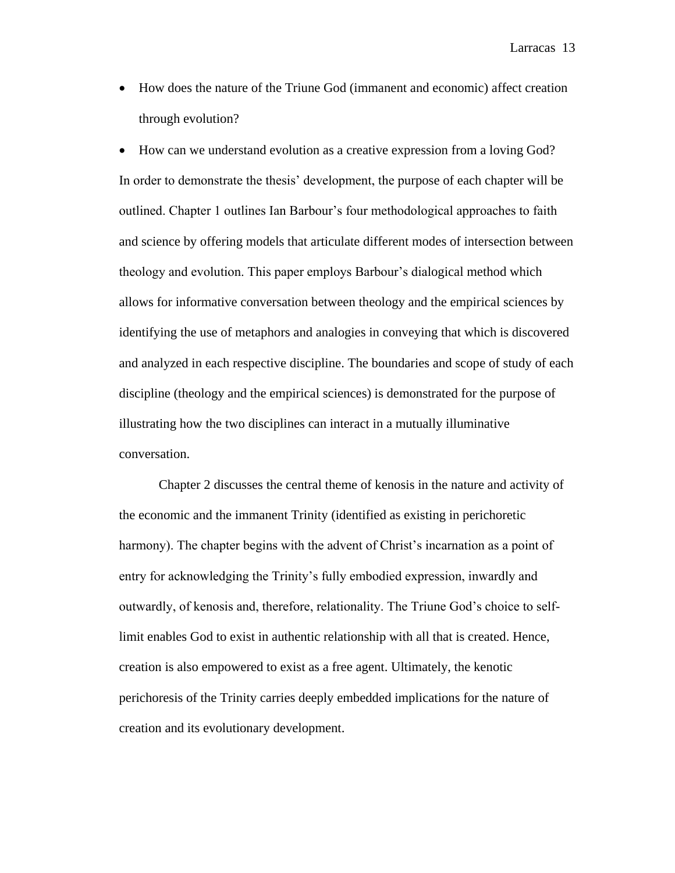How does the nature of the Triune God (immanent and economic) affect creation through evolution?

 How can we understand evolution as a creative expression from a loving God? In order to demonstrate the thesis' development, the purpose of each chapter will be outlined. Chapter 1 outlines Ian Barbour's four methodological approaches to faith and science by offering models that articulate different modes of intersection between theology and evolution. This paper employs Barbour's dialogical method which allows for informative conversation between theology and the empirical sciences by identifying the use of metaphors and analogies in conveying that which is discovered and analyzed in each respective discipline. The boundaries and scope of study of each discipline (theology and the empirical sciences) is demonstrated for the purpose of illustrating how the two disciplines can interact in a mutually illuminative conversation.

Chapter 2 discusses the central theme of kenosis in the nature and activity of the economic and the immanent Trinity (identified as existing in perichoretic harmony). The chapter begins with the advent of Christ's incarnation as a point of entry for acknowledging the Trinity's fully embodied expression, inwardly and outwardly, of kenosis and, therefore, relationality. The Triune God's choice to selflimit enables God to exist in authentic relationship with all that is created. Hence, creation is also empowered to exist as a free agent. Ultimately, the kenotic perichoresis of the Trinity carries deeply embedded implications for the nature of creation and its evolutionary development.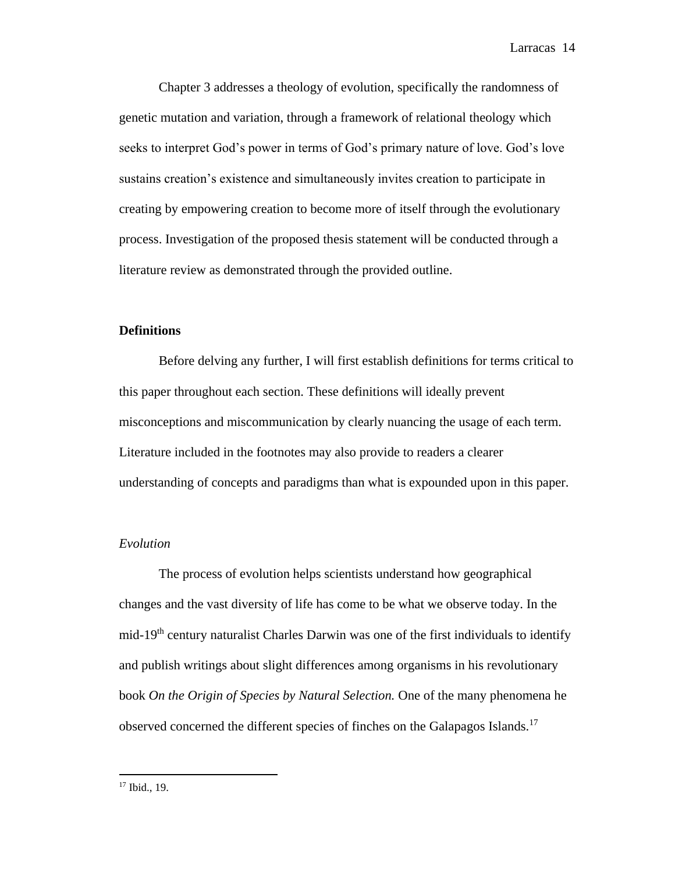Chapter 3 addresses a theology of evolution, specifically the randomness of genetic mutation and variation, through a framework of relational theology which seeks to interpret God's power in terms of God's primary nature of love. God's love sustains creation's existence and simultaneously invites creation to participate in creating by empowering creation to become more of itself through the evolutionary process. Investigation of the proposed thesis statement will be conducted through a literature review as demonstrated through the provided outline.

# **Definitions**

Before delving any further, I will first establish definitions for terms critical to this paper throughout each section. These definitions will ideally prevent misconceptions and miscommunication by clearly nuancing the usage of each term. Literature included in the footnotes may also provide to readers a clearer understanding of concepts and paradigms than what is expounded upon in this paper.

#### *Evolution*

The process of evolution helps scientists understand how geographical changes and the vast diversity of life has come to be what we observe today. In the mid-19th century naturalist Charles Darwin was one of the first individuals to identify and publish writings about slight differences among organisms in his revolutionary book *On the Origin of Species by Natural Selection.* One of the many phenomena he observed concerned the different species of finches on the Galapagos Islands.<sup>17</sup>

<sup>17</sup> Ibid., 19.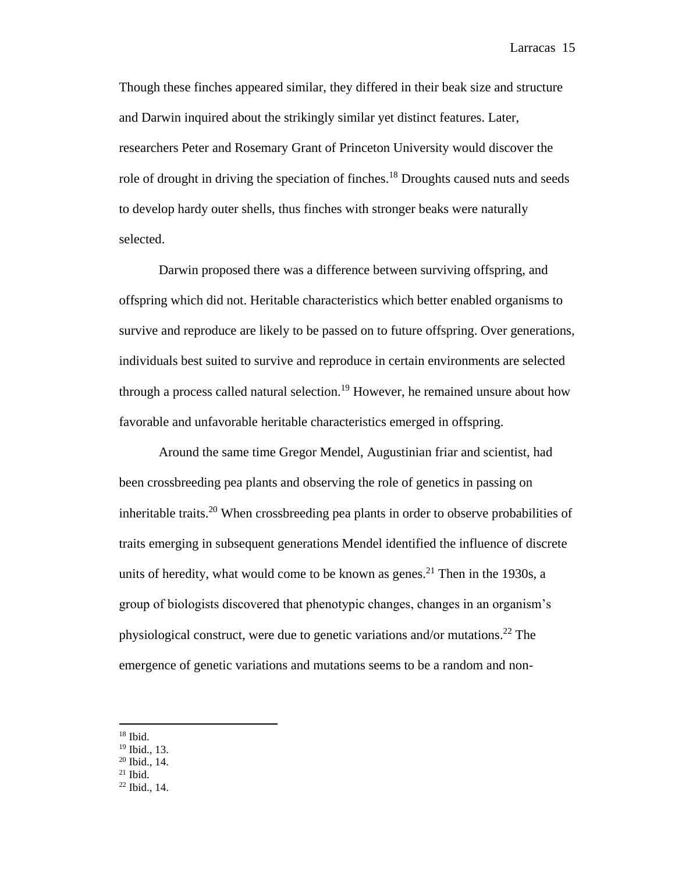Though these finches appeared similar, they differed in their beak size and structure and Darwin inquired about the strikingly similar yet distinct features. Later, researchers Peter and Rosemary Grant of Princeton University would discover the role of drought in driving the speciation of finches.<sup>18</sup> Droughts caused nuts and seeds to develop hardy outer shells, thus finches with stronger beaks were naturally selected.

Darwin proposed there was a difference between surviving offspring, and offspring which did not. Heritable characteristics which better enabled organisms to survive and reproduce are likely to be passed on to future offspring. Over generations, individuals best suited to survive and reproduce in certain environments are selected through a process called natural selection.<sup>19</sup> However, he remained unsure about how favorable and unfavorable heritable characteristics emerged in offspring.

Around the same time Gregor Mendel, Augustinian friar and scientist, had been crossbreeding pea plants and observing the role of genetics in passing on inheritable traits.<sup>20</sup> When crossbreeding pea plants in order to observe probabilities of traits emerging in subsequent generations Mendel identified the influence of discrete units of heredity, what would come to be known as genes.<sup>21</sup> Then in the 1930s, a group of biologists discovered that phenotypic changes, changes in an organism's physiological construct, were due to genetic variations and/or mutations. <sup>22</sup> The emergence of genetic variations and mutations seems to be a random and non-

 $\overline{a}$ 

 $21$  Ibid.

 $^{18}$  Ibid.

<sup>19</sup> Ibid., 13.

<sup>20</sup> Ibid., 14.

<sup>22</sup> Ibid., 14.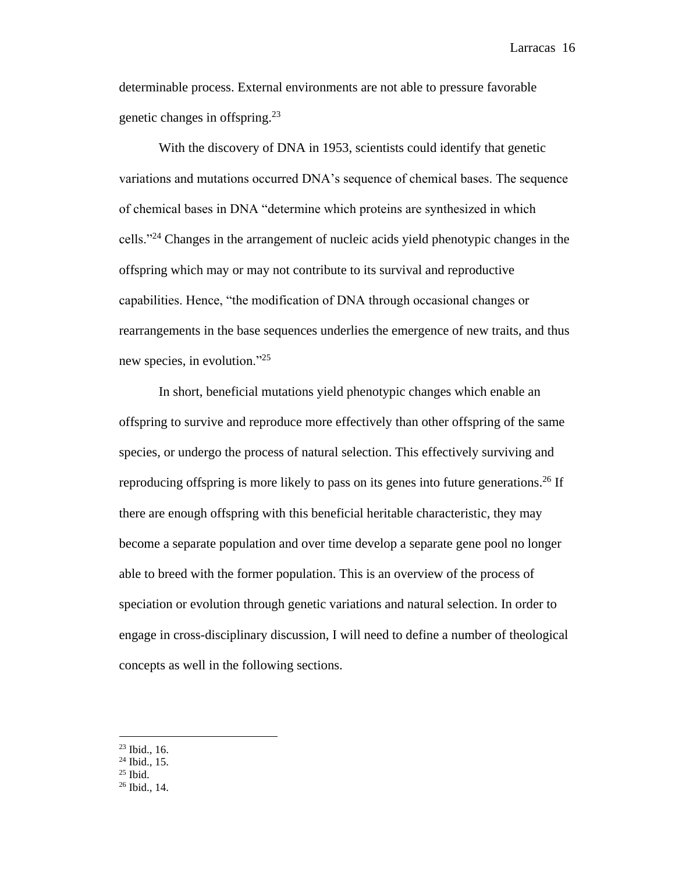determinable process. External environments are not able to pressure favorable genetic changes in offspring.<sup>23</sup>

With the discovery of DNA in 1953, scientists could identify that genetic variations and mutations occurred DNA's sequence of chemical bases. The sequence of chemical bases in DNA "determine which proteins are synthesized in which cells."<sup>24</sup> Changes in the arrangement of nucleic acids yield phenotypic changes in the offspring which may or may not contribute to its survival and reproductive capabilities. Hence, "the modification of DNA through occasional changes or rearrangements in the base sequences underlies the emergence of new traits, and thus new species, in evolution."<sup>25</sup>

In short, beneficial mutations yield phenotypic changes which enable an offspring to survive and reproduce more effectively than other offspring of the same species, or undergo the process of natural selection. This effectively surviving and reproducing offspring is more likely to pass on its genes into future generations.<sup>26</sup> If there are enough offspring with this beneficial heritable characteristic, they may become a separate population and over time develop a separate gene pool no longer able to breed with the former population. This is an overview of the process of speciation or evolution through genetic variations and natural selection. In order to engage in cross-disciplinary discussion, I will need to define a number of theological concepts as well in the following sections.

<sup>25</sup> Ibid.

 $23$  Ibid., 16.

 $24$  Ibid., 15.

<sup>26</sup> Ibid., 14.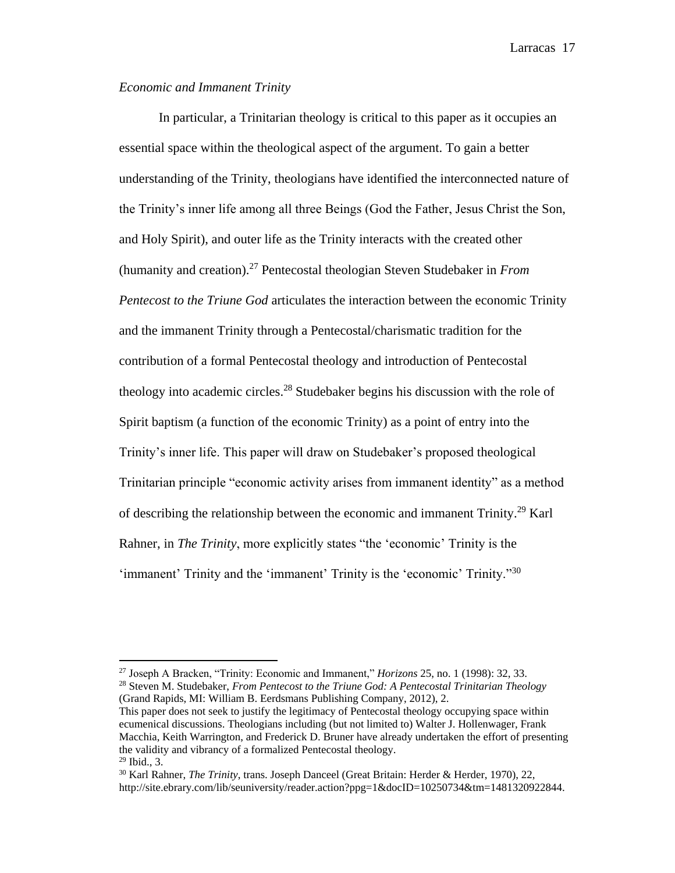# *Economic and Immanent Trinity*

 $\overline{a}$ 

In particular, a Trinitarian theology is critical to this paper as it occupies an essential space within the theological aspect of the argument. To gain a better understanding of the Trinity, theologians have identified the interconnected nature of the Trinity's inner life among all three Beings (God the Father, Jesus Christ the Son, and Holy Spirit), and outer life as the Trinity interacts with the created other (humanity and creation).<sup>27</sup> Pentecostal theologian Steven Studebaker in *From Pentecost to the Triune God* articulates the interaction between the economic Trinity and the immanent Trinity through a Pentecostal/charismatic tradition for the contribution of a formal Pentecostal theology and introduction of Pentecostal theology into academic circles.<sup>28</sup> Studebaker begins his discussion with the role of Spirit baptism (a function of the economic Trinity) as a point of entry into the Trinity's inner life. This paper will draw on Studebaker's proposed theological Trinitarian principle "economic activity arises from immanent identity" as a method of describing the relationship between the economic and immanent Trinity.<sup>29</sup> Karl Rahner, in *The Trinity*, more explicitly states "the 'economic' Trinity is the 'immanent' Trinity and the 'immanent' Trinity is the 'economic' Trinity."<sup>30</sup>

This paper does not seek to justify the legitimacy of Pentecostal theology occupying space within ecumenical discussions. Theologians including (but not limited to) Walter J. Hollenwager, Frank Macchia, Keith Warrington, and Frederick D. Bruner have already undertaken the effort of presenting the validity and vibrancy of a formalized Pentecostal theology.  $29$  Ibid., 3.

<sup>27</sup> Joseph A Bracken, "Trinity: Economic and Immanent," *Horizons* 25, no. 1 (1998): 32, 33. <sup>28</sup> Steven M. Studebaker, *From Pentecost to the Triune God: A Pentecostal Trinitarian Theology* (Grand Rapids, MI: William B. Eerdsmans Publishing Company, 2012), 2.

<sup>30</sup> Karl Rahner, *The Trinity*, trans. Joseph Danceel (Great Britain: Herder & Herder, 1970), 22, http://site.ebrary.com/lib/seuniversity/reader.action?ppg=1&docID=10250734&tm=1481320922844.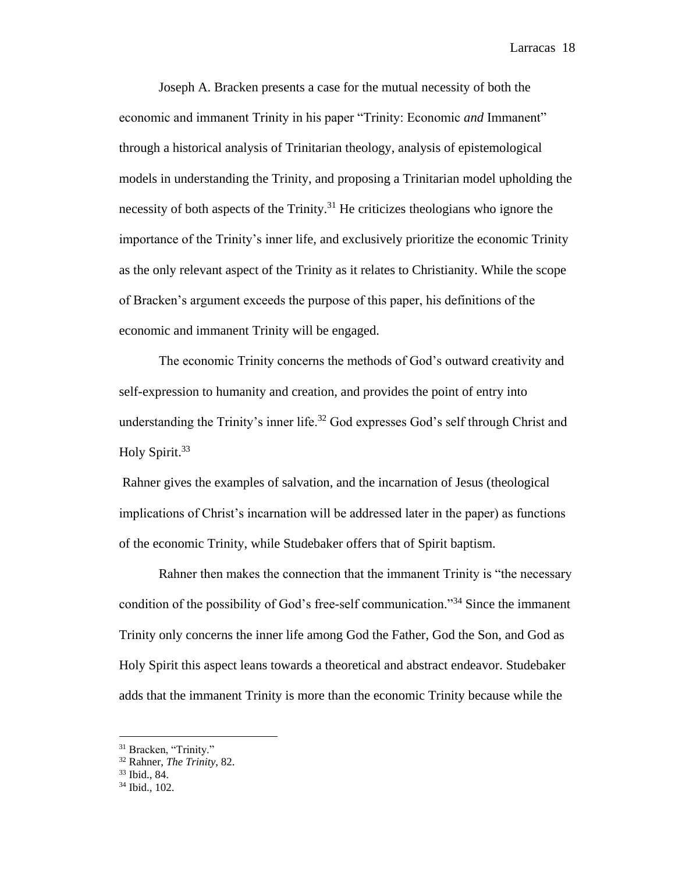Joseph A. Bracken presents a case for the mutual necessity of both the economic and immanent Trinity in his paper "Trinity: Economic *and* Immanent" through a historical analysis of Trinitarian theology, analysis of epistemological models in understanding the Trinity, and proposing a Trinitarian model upholding the necessity of both aspects of the Trinity.<sup>31</sup> He criticizes theologians who ignore the importance of the Trinity's inner life, and exclusively prioritize the economic Trinity as the only relevant aspect of the Trinity as it relates to Christianity. While the scope of Bracken's argument exceeds the purpose of this paper, his definitions of the economic and immanent Trinity will be engaged.

The economic Trinity concerns the methods of God's outward creativity and self-expression to humanity and creation, and provides the point of entry into understanding the Trinity's inner life.<sup>32</sup> God expresses God's self through Christ and Holy Spirit.<sup>33</sup>

Rahner gives the examples of salvation, and the incarnation of Jesus (theological implications of Christ's incarnation will be addressed later in the paper) as functions of the economic Trinity, while Studebaker offers that of Spirit baptism.

Rahner then makes the connection that the immanent Trinity is "the necessary condition of the possibility of God's free-self communication."<sup>34</sup> Since the immanent Trinity only concerns the inner life among God the Father, God the Son, and God as Holy Spirit this aspect leans towards a theoretical and abstract endeavor. Studebaker adds that the immanent Trinity is more than the economic Trinity because while the

<sup>&</sup>lt;sup>31</sup> Bracken, "Trinity."

<sup>32</sup> Rahner, *The Trinity*, 82.

<sup>33</sup> Ibid., 84.

<sup>34</sup> Ibid., 102.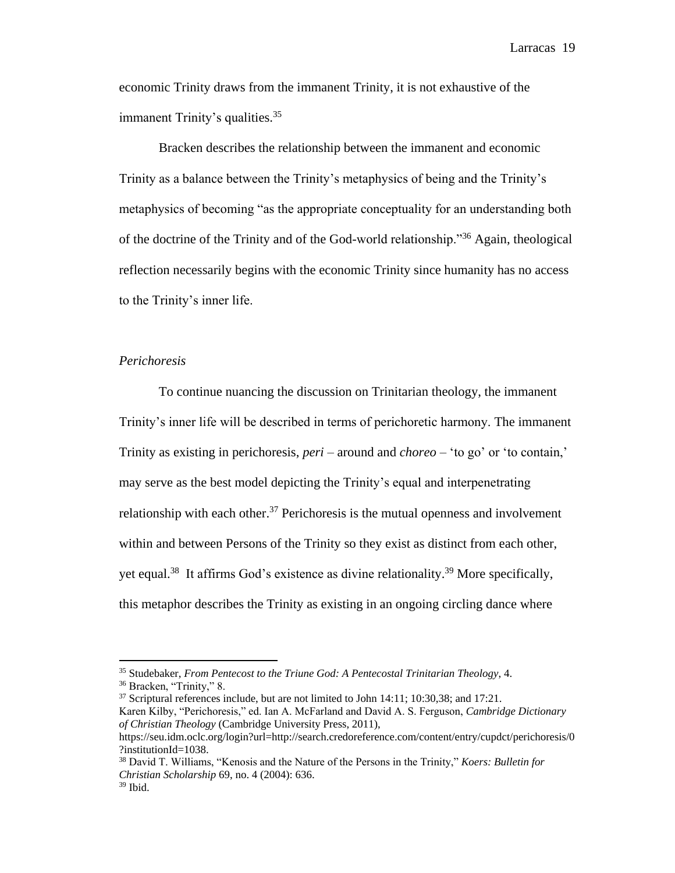economic Trinity draws from the immanent Trinity, it is not exhaustive of the immanent Trinity's qualities.<sup>35</sup>

Bracken describes the relationship between the immanent and economic Trinity as a balance between the Trinity's metaphysics of being and the Trinity's metaphysics of becoming "as the appropriate conceptuality for an understanding both of the doctrine of the Trinity and of the God-world relationship."<sup>36</sup> Again, theological reflection necessarily begins with the economic Trinity since humanity has no access to the Trinity's inner life.

# *Perichoresis*

To continue nuancing the discussion on Trinitarian theology, the immanent Trinity's inner life will be described in terms of perichoretic harmony. The immanent Trinity as existing in perichoresis, *peri* – around and *choreo* – 'to go' or 'to contain,' may serve as the best model depicting the Trinity's equal and interpenetrating relationship with each other.<sup>37</sup> Perichoresis is the mutual openness and involvement within and between Persons of the Trinity so they exist as distinct from each other, yet equal.<sup>38</sup> It affirms God's existence as divine relationality.<sup>39</sup> More specifically, this metaphor describes the Trinity as existing in an ongoing circling dance where

<sup>35</sup> Studebaker, *From Pentecost to the Triune God: A Pentecostal Trinitarian Theology*, 4.

<sup>36</sup> Bracken, "Trinity," 8.

<sup>&</sup>lt;sup>37</sup> Scriptural references include, but are not limited to John 14:11; 10:30,38; and 17:21. Karen Kilby, "Perichoresis," ed. Ian A. McFarland and David A. S. Ferguson, *Cambridge Dictionary of Christian Theology* (Cambridge University Press, 2011),

https://seu.idm.oclc.org/login?url=http://search.credoreference.com/content/entry/cupdct/perichoresis/0 ?institutionId=1038.

<sup>38</sup> David T. Williams, "Kenosis and the Nature of the Persons in the Trinity," *Koers: Bulletin for Christian Scholarship* 69, no. 4 (2004): 636.

 $39$  Ibid.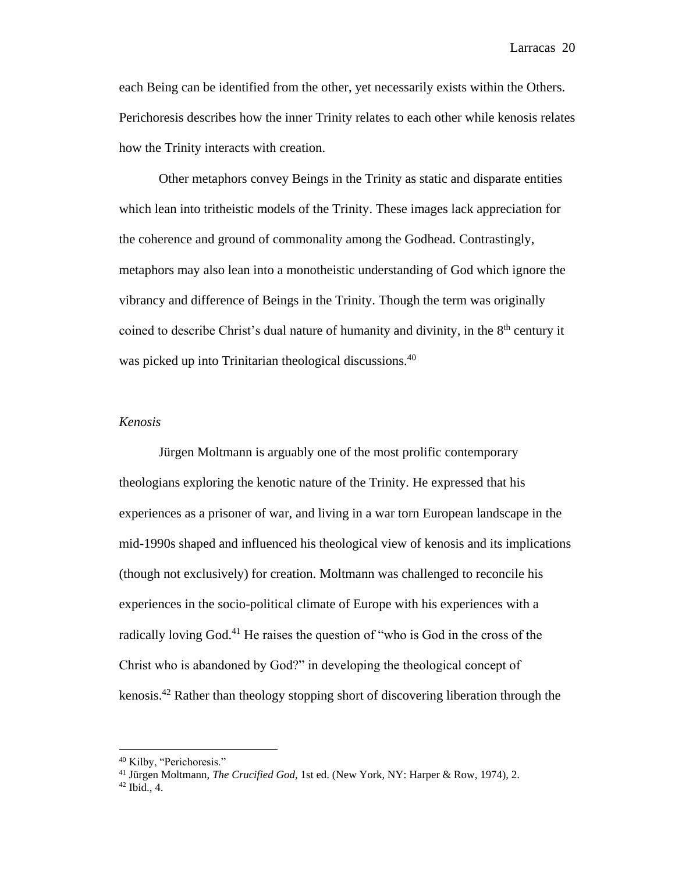each Being can be identified from the other, yet necessarily exists within the Others. Perichoresis describes how the inner Trinity relates to each other while kenosis relates how the Trinity interacts with creation.

Other metaphors convey Beings in the Trinity as static and disparate entities which lean into tritheistic models of the Trinity. These images lack appreciation for the coherence and ground of commonality among the Godhead. Contrastingly, metaphors may also lean into a monotheistic understanding of God which ignore the vibrancy and difference of Beings in the Trinity. Though the term was originally coined to describe Christ's dual nature of humanity and divinity, in the  $8<sup>th</sup>$  century it was picked up into Trinitarian theological discussions.<sup>40</sup>

# *Kenosis*

Jürgen Moltmann is arguably one of the most prolific contemporary theologians exploring the kenotic nature of the Trinity. He expressed that his experiences as a prisoner of war, and living in a war torn European landscape in the mid-1990s shaped and influenced his theological view of kenosis and its implications (though not exclusively) for creation. Moltmann was challenged to reconcile his experiences in the socio-political climate of Europe with his experiences with a radically loving God.<sup>41</sup> He raises the question of "who is God in the cross of the Christ who is abandoned by God?" in developing the theological concept of kenosis.<sup>42</sup> Rather than theology stopping short of discovering liberation through the

<sup>40</sup> Kilby, "Perichoresis."

<sup>41</sup> Jürgen Moltmann, *The Crucified God*, 1st ed. (New York, NY: Harper & Row, 1974), 2.

 $42$  Ibid., 4.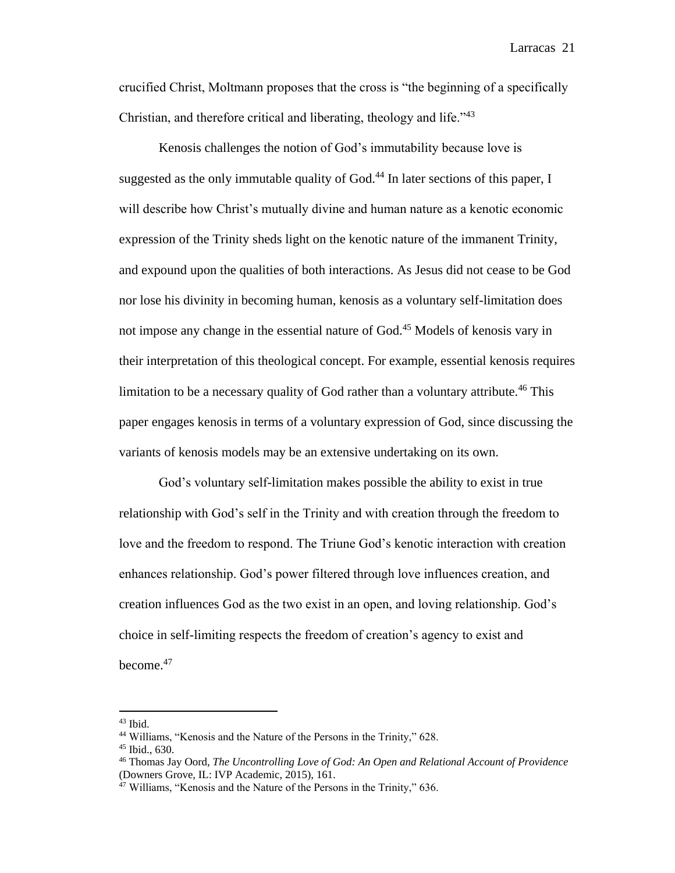crucified Christ, Moltmann proposes that the cross is "the beginning of a specifically Christian, and therefore critical and liberating, theology and life."<sup>43</sup>

Kenosis challenges the notion of God's immutability because love is suggested as the only immutable quality of  $Good<sup>44</sup>$  In later sections of this paper, I will describe how Christ's mutually divine and human nature as a kenotic economic expression of the Trinity sheds light on the kenotic nature of the immanent Trinity, and expound upon the qualities of both interactions. As Jesus did not cease to be God nor lose his divinity in becoming human, kenosis as a voluntary self-limitation does not impose any change in the essential nature of God.<sup>45</sup> Models of kenosis vary in their interpretation of this theological concept. For example, essential kenosis requires limitation to be a necessary quality of God rather than a voluntary attribute.<sup>46</sup> This paper engages kenosis in terms of a voluntary expression of God, since discussing the variants of kenosis models may be an extensive undertaking on its own.

God's voluntary self-limitation makes possible the ability to exist in true relationship with God's self in the Trinity and with creation through the freedom to love and the freedom to respond. The Triune God's kenotic interaction with creation enhances relationship. God's power filtered through love influences creation, and creation influences God as the two exist in an open, and loving relationship. God's choice in self-limiting respects the freedom of creation's agency to exist and become.<sup>47</sup>

 $43$  Ibid.

<sup>44</sup> Williams, "Kenosis and the Nature of the Persons in the Trinity," 628.

<sup>45</sup> Ibid., 630.

<sup>46</sup> Thomas Jay Oord, *The Uncontrolling Love of God: An Open and Relational Account of Providence* (Downers Grove, IL: IVP Academic, 2015), 161.

<sup>&</sup>lt;sup>47</sup> Williams, "Kenosis and the Nature of the Persons in the Trinity," 636.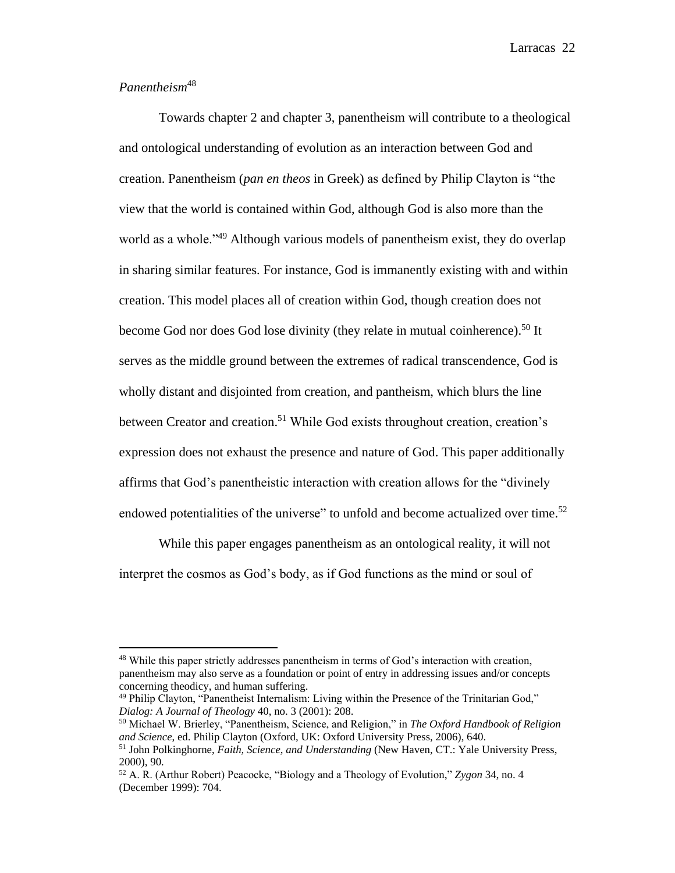# *Panentheism*<sup>48</sup>

 $\overline{a}$ 

Towards chapter 2 and chapter 3, panentheism will contribute to a theological and ontological understanding of evolution as an interaction between God and creation. Panentheism (*pan en theos* in Greek) as defined by Philip Clayton is "the view that the world is contained within God, although God is also more than the world as a whole.<sup>349</sup> Although various models of panentheism exist, they do overlap in sharing similar features. For instance, God is immanently existing with and within creation. This model places all of creation within God, though creation does not become God nor does God lose divinity (they relate in mutual coinherence).<sup>50</sup> It serves as the middle ground between the extremes of radical transcendence, God is wholly distant and disjointed from creation, and pantheism, which blurs the line between Creator and creation.<sup>51</sup> While God exists throughout creation, creation's expression does not exhaust the presence and nature of God. This paper additionally affirms that God's panentheistic interaction with creation allows for the "divinely endowed potentialities of the universe" to unfold and become actualized over time.<sup>52</sup>

While this paper engages panentheism as an ontological reality, it will not interpret the cosmos as God's body, as if God functions as the mind or soul of

<sup>48</sup> While this paper strictly addresses panentheism in terms of God's interaction with creation, panentheism may also serve as a foundation or point of entry in addressing issues and/or concepts concerning theodicy, and human suffering.

<sup>49</sup> Philip Clayton, "Panentheist Internalism: Living within the Presence of the Trinitarian God," *Dialog: A Journal of Theology* 40, no. 3 (2001): 208.

<sup>50</sup> Michael W. Brierley, "Panentheism, Science, and Religion," in *The Oxford Handbook of Religion and Science*, ed. Philip Clayton (Oxford, UK: Oxford University Press, 2006), 640.

<sup>51</sup> John Polkinghorne, *Faith, Science, and Understanding* (New Haven, CT.: Yale University Press, 2000), 90.

<sup>52</sup> A. R. (Arthur Robert) Peacocke, "Biology and a Theology of Evolution," *Zygon* 34, no. 4 (December 1999): 704.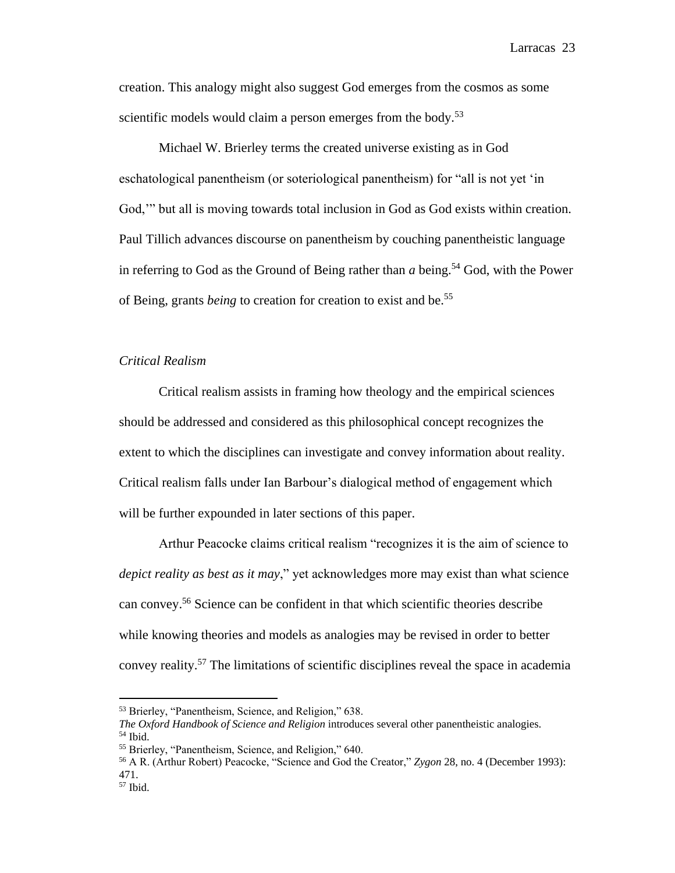creation. This analogy might also suggest God emerges from the cosmos as some scientific models would claim a person emerges from the body.<sup>53</sup>

Michael W. Brierley terms the created universe existing as in God eschatological panentheism (or soteriological panentheism) for "all is not yet 'in God,'" but all is moving towards total inclusion in God as God exists within creation. Paul Tillich advances discourse on panentheism by couching panentheistic language in referring to God as the Ground of Being rather than  $a$  being.<sup>54</sup> God, with the Power of Being, grants *being* to creation for creation to exist and be.<sup>55</sup>

# *Critical Realism*

Critical realism assists in framing how theology and the empirical sciences should be addressed and considered as this philosophical concept recognizes the extent to which the disciplines can investigate and convey information about reality. Critical realism falls under Ian Barbour's dialogical method of engagement which will be further expounded in later sections of this paper.

Arthur Peacocke claims critical realism "recognizes it is the aim of science to *depict reality as best as it may*," yet acknowledges more may exist than what science can convey.<sup>56</sup> Science can be confident in that which scientific theories describe while knowing theories and models as analogies may be revised in order to better convey reality.<sup>57</sup> The limitations of scientific disciplines reveal the space in academia

<sup>53</sup> Brierley, "Panentheism, Science, and Religion," 638.

*The Oxford Handbook of Science and Religion* introduces several other panentheistic analogies. <sup>54</sup> Ibid.

<sup>55</sup> Brierley, "Panentheism, Science, and Religion," 640.

<sup>56</sup> A R. (Arthur Robert) Peacocke, "Science and God the Creator," *Zygon* 28, no. 4 (December 1993): 471.

<sup>57</sup> Ibid.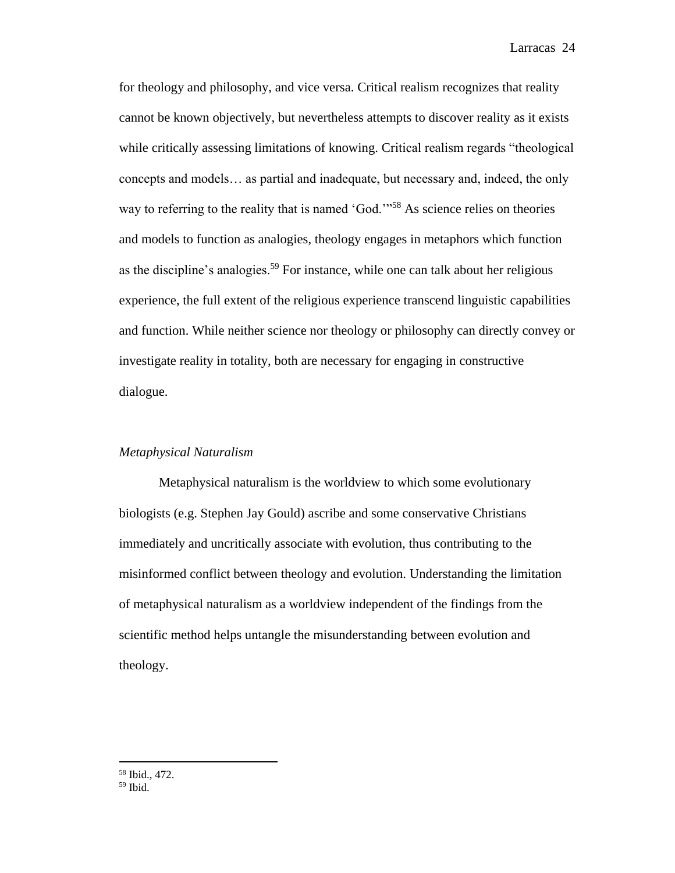for theology and philosophy, and vice versa. Critical realism recognizes that reality cannot be known objectively, but nevertheless attempts to discover reality as it exists while critically assessing limitations of knowing. Critical realism regards "theological concepts and models… as partial and inadequate, but necessary and, indeed, the only way to referring to the reality that is named 'God.'<sup>58</sup> As science relies on theories and models to function as analogies, theology engages in metaphors which function as the discipline's analogies.<sup>59</sup> For instance, while one can talk about her religious experience, the full extent of the religious experience transcend linguistic capabilities and function. While neither science nor theology or philosophy can directly convey or investigate reality in totality, both are necessary for engaging in constructive dialogue.

# *Metaphysical Naturalism*

Metaphysical naturalism is the worldview to which some evolutionary biologists (e.g. Stephen Jay Gould) ascribe and some conservative Christians immediately and uncritically associate with evolution, thus contributing to the misinformed conflict between theology and evolution. Understanding the limitation of metaphysical naturalism as a worldview independent of the findings from the scientific method helps untangle the misunderstanding between evolution and theology.

<sup>58</sup> Ibid., 472.

<sup>59</sup> Ibid.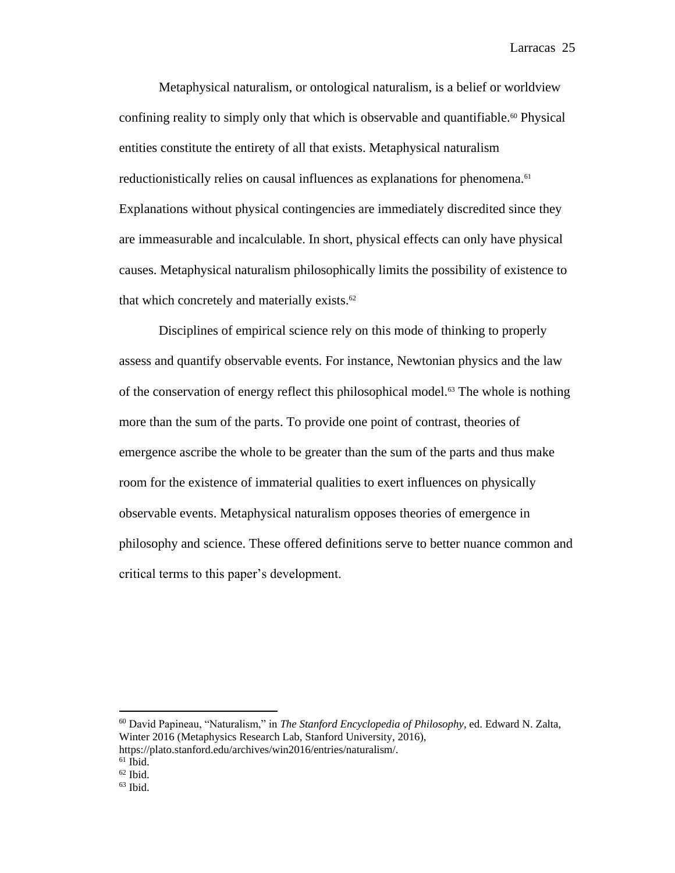Metaphysical naturalism, or ontological naturalism, is a belief or worldview confining reality to simply only that which is observable and quantifiable.<sup>60</sup> Physical entities constitute the entirety of all that exists. Metaphysical naturalism reductionistically relies on causal influences as explanations for phenomena.<sup>61</sup> Explanations without physical contingencies are immediately discredited since they are immeasurable and incalculable. In short, physical effects can only have physical causes. Metaphysical naturalism philosophically limits the possibility of existence to that which concretely and materially exists.<sup>62</sup>

Disciplines of empirical science rely on this mode of thinking to properly assess and quantify observable events. For instance, Newtonian physics and the law of the conservation of energy reflect this philosophical model.<sup>63</sup> The whole is nothing more than the sum of the parts. To provide one point of contrast, theories of emergence ascribe the whole to be greater than the sum of the parts and thus make room for the existence of immaterial qualities to exert influences on physically observable events. Metaphysical naturalism opposes theories of emergence in philosophy and science. These offered definitions serve to better nuance common and critical terms to this paper's development.

<sup>60</sup> David Papineau, "Naturalism," in *The Stanford Encyclopedia of Philosophy*, ed. Edward N. Zalta, Winter 2016 (Metaphysics Research Lab, Stanford University, 2016), https://plato.stanford.edu/archives/win2016/entries/naturalism/.

 $61$  Ibid.

 $62$  Ibid.

 $63$  Ibid.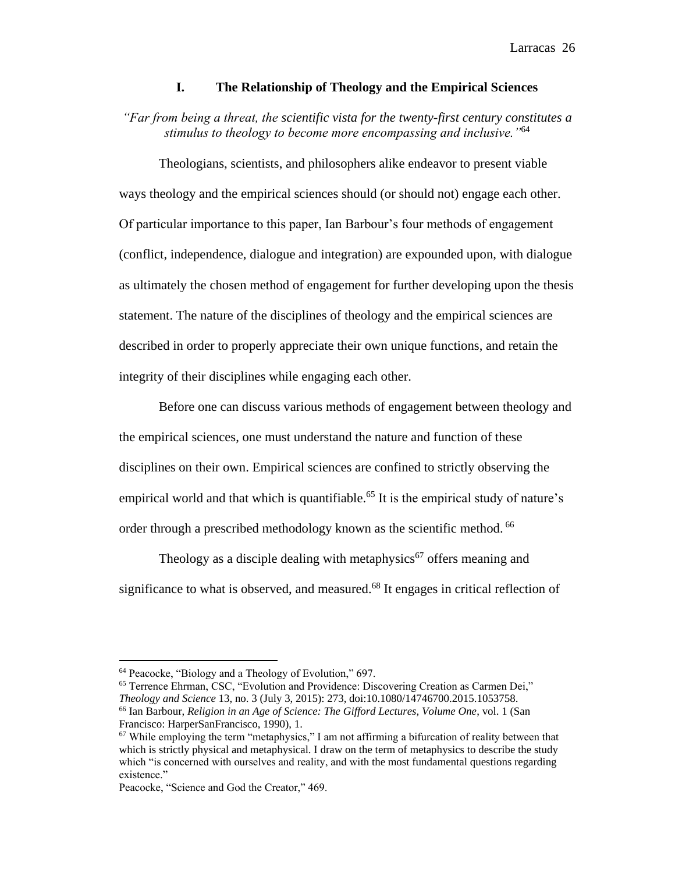## **I. The Relationship of Theology and the Empirical Sciences**

*"Far from being a threat, the scientific vista for the twenty-first century constitutes a stimulus to theology to become more encompassing and inclusive."*<sup>64</sup>

Theologians, scientists, and philosophers alike endeavor to present viable ways theology and the empirical sciences should (or should not) engage each other. Of particular importance to this paper, Ian Barbour's four methods of engagement (conflict, independence, dialogue and integration) are expounded upon, with dialogue as ultimately the chosen method of engagement for further developing upon the thesis statement. The nature of the disciplines of theology and the empirical sciences are described in order to properly appreciate their own unique functions, and retain the integrity of their disciplines while engaging each other.

Before one can discuss various methods of engagement between theology and the empirical sciences, one must understand the nature and function of these disciplines on their own. Empirical sciences are confined to strictly observing the empirical world and that which is quantifiable.<sup>65</sup> It is the empirical study of nature's order through a prescribed methodology known as the scientific method. <sup>66</sup>

Theology as a disciple dealing with metaphysics<sup>67</sup> offers meaning and significance to what is observed, and measured.<sup>68</sup> It engages in critical reflection of

<sup>64</sup> Peacocke, "Biology and a Theology of Evolution," 697.

<sup>65</sup> Terrence Ehrman, CSC, "Evolution and Providence: Discovering Creation as Carmen Dei," *Theology and Science* 13, no. 3 (July 3, 2015): 273, doi:10.1080/14746700.2015.1053758. <sup>66</sup> Ian Barbour, *Religion in an Age of Science: The Gifford Lectures, Volume One*, vol. 1 (San Francisco: HarperSanFrancisco, 1990), 1.

 $67$  While employing the term "metaphysics," I am not affirming a bifurcation of reality between that which is strictly physical and metaphysical. I draw on the term of metaphysics to describe the study which "is concerned with ourselves and reality, and with the most fundamental questions regarding existence."

Peacocke, "Science and God the Creator," 469.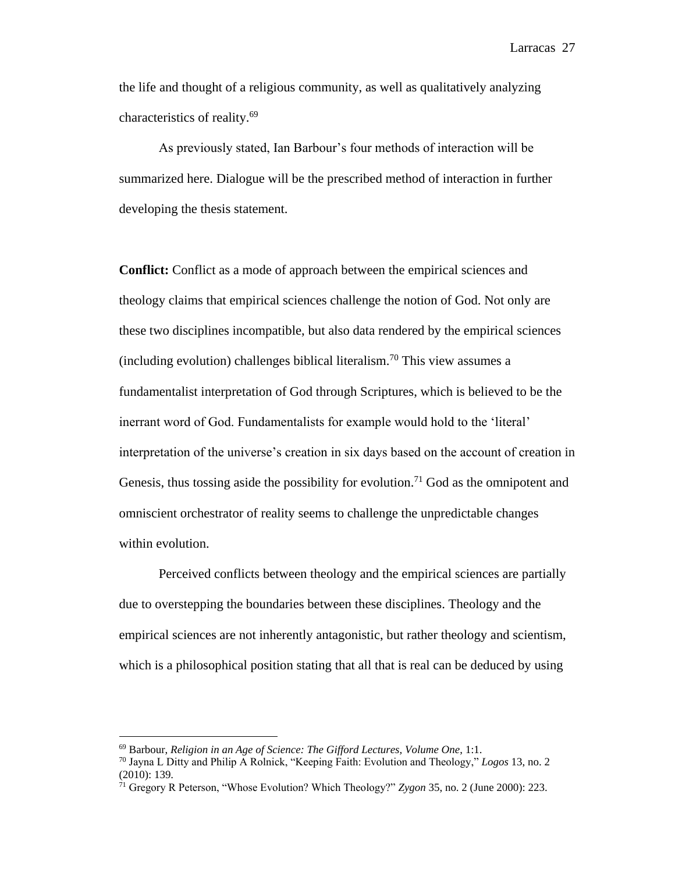the life and thought of a religious community, as well as qualitatively analyzing characteristics of reality.<sup>69</sup>

As previously stated, Ian Barbour's four methods of interaction will be summarized here. Dialogue will be the prescribed method of interaction in further developing the thesis statement.

**Conflict:** Conflict as a mode of approach between the empirical sciences and theology claims that empirical sciences challenge the notion of God. Not only are these two disciplines incompatible, but also data rendered by the empirical sciences (including evolution) challenges biblical literalism.<sup>70</sup> This view assumes a fundamentalist interpretation of God through Scriptures, which is believed to be the inerrant word of God. Fundamentalists for example would hold to the 'literal' interpretation of the universe's creation in six days based on the account of creation in Genesis, thus tossing aside the possibility for evolution.<sup>71</sup> God as the omnipotent and omniscient orchestrator of reality seems to challenge the unpredictable changes within evolution.

Perceived conflicts between theology and the empirical sciences are partially due to overstepping the boundaries between these disciplines. Theology and the empirical sciences are not inherently antagonistic, but rather theology and scientism, which is a philosophical position stating that all that is real can be deduced by using

<sup>69</sup> Barbour, *Religion in an Age of Science: The Gifford Lectures, Volume One*, 1:1.

<sup>70</sup> Jayna L Ditty and Philip A Rolnick, "Keeping Faith: Evolution and Theology," *Logos* 13, no. 2 (2010): 139.

<sup>71</sup> Gregory R Peterson, "Whose Evolution? Which Theology?" *Zygon* 35, no. 2 (June 2000): 223.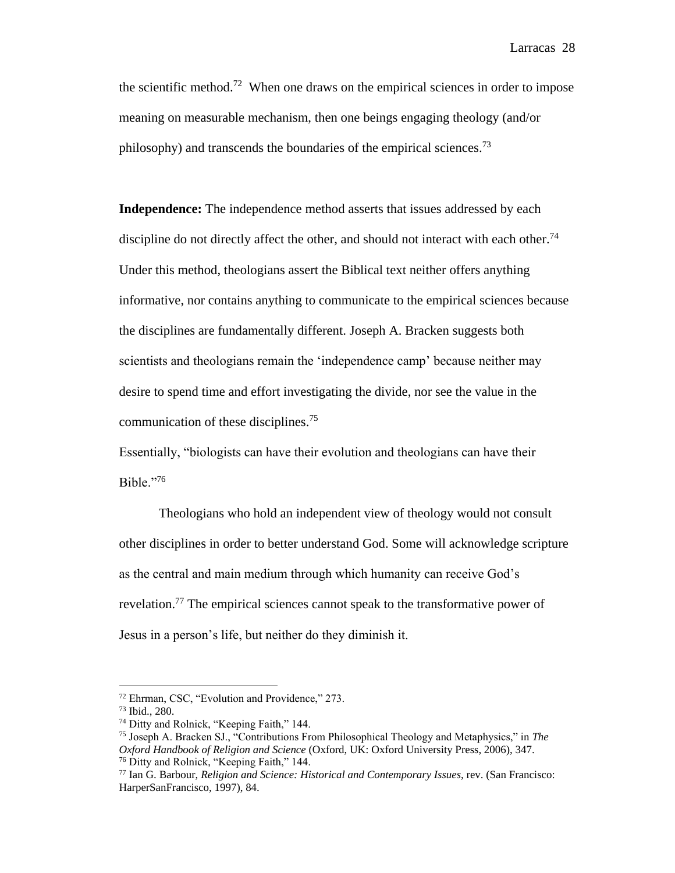the scientific method.<sup>72</sup> When one draws on the empirical sciences in order to impose meaning on measurable mechanism, then one beings engaging theology (and/or philosophy) and transcends the boundaries of the empirical sciences.<sup>73</sup>

**Independence:** The independence method asserts that issues addressed by each discipline do not directly affect the other, and should not interact with each other.<sup>74</sup> Under this method, theologians assert the Biblical text neither offers anything informative, nor contains anything to communicate to the empirical sciences because the disciplines are fundamentally different. Joseph A. Bracken suggests both scientists and theologians remain the 'independence camp' because neither may desire to spend time and effort investigating the divide, nor see the value in the communication of these disciplines.<sup>75</sup>

Essentially, "biologists can have their evolution and theologians can have their Bible."<sup>76</sup>

Theologians who hold an independent view of theology would not consult other disciplines in order to better understand God. Some will acknowledge scripture as the central and main medium through which humanity can receive God's revelation.<sup>77</sup> The empirical sciences cannot speak to the transformative power of Jesus in a person's life, but neither do they diminish it.

<sup>72</sup> Ehrman, CSC, "Evolution and Providence," 273.

<sup>73</sup> Ibid., 280.

<sup>74</sup> Ditty and Rolnick, "Keeping Faith," 144.

<sup>75</sup> Joseph A. Bracken SJ., "Contributions From Philosophical Theology and Metaphysics," in *The Oxford Handbook of Religion and Science* (Oxford, UK: Oxford University Press, 2006), 347. <sup>76</sup> Ditty and Rolnick, "Keeping Faith," 144.

<sup>77</sup> Ian G. Barbour, *Religion and Science: Historical and Contemporary Issues*, rev. (San Francisco: HarperSanFrancisco, 1997), 84.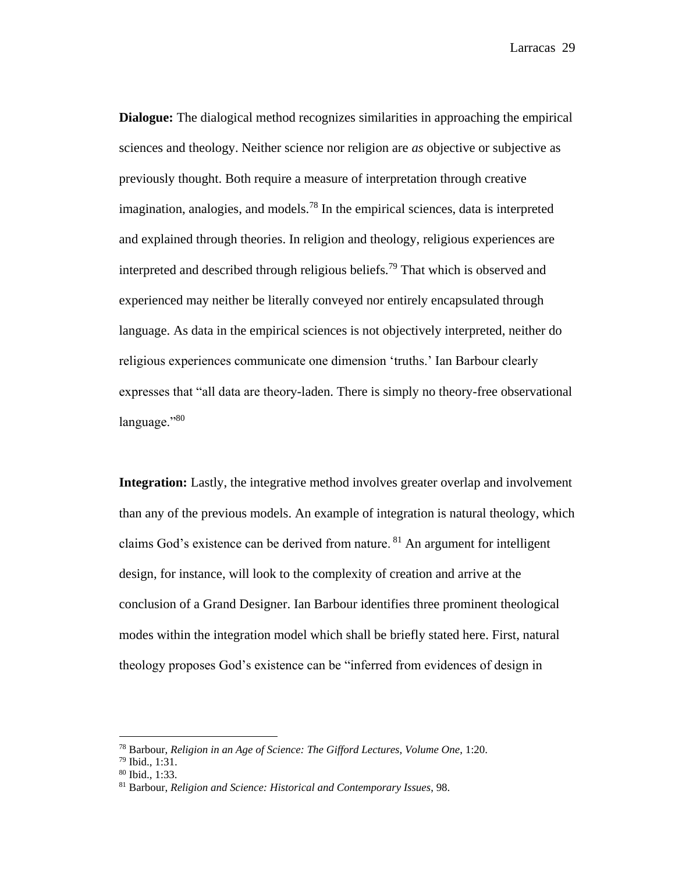**Dialogue:** The dialogical method recognizes similarities in approaching the empirical sciences and theology. Neither science nor religion are *as* objective or subjective as previously thought. Both require a measure of interpretation through creative imagination, analogies, and models.<sup>78</sup> In the empirical sciences, data is interpreted and explained through theories. In religion and theology, religious experiences are interpreted and described through religious beliefs.<sup>79</sup> That which is observed and experienced may neither be literally conveyed nor entirely encapsulated through language. As data in the empirical sciences is not objectively interpreted, neither do religious experiences communicate one dimension 'truths.' Ian Barbour clearly expresses that "all data are theory-laden. There is simply no theory-free observational language."80

**Integration:** Lastly, the integrative method involves greater overlap and involvement than any of the previous models. An example of integration is natural theology, which claims God's existence can be derived from nature.  $81$  An argument for intelligent design, for instance, will look to the complexity of creation and arrive at the conclusion of a Grand Designer. Ian Barbour identifies three prominent theological modes within the integration model which shall be briefly stated here. First, natural theology proposes God's existence can be "inferred from evidences of design in

<sup>78</sup> Barbour, *Religion in an Age of Science: The Gifford Lectures, Volume One*, 1:20.

<sup>79</sup> Ibid., 1:31.

<sup>80</sup> Ibid., 1:33.

<sup>81</sup> Barbour, *Religion and Science: Historical and Contemporary Issues*, 98.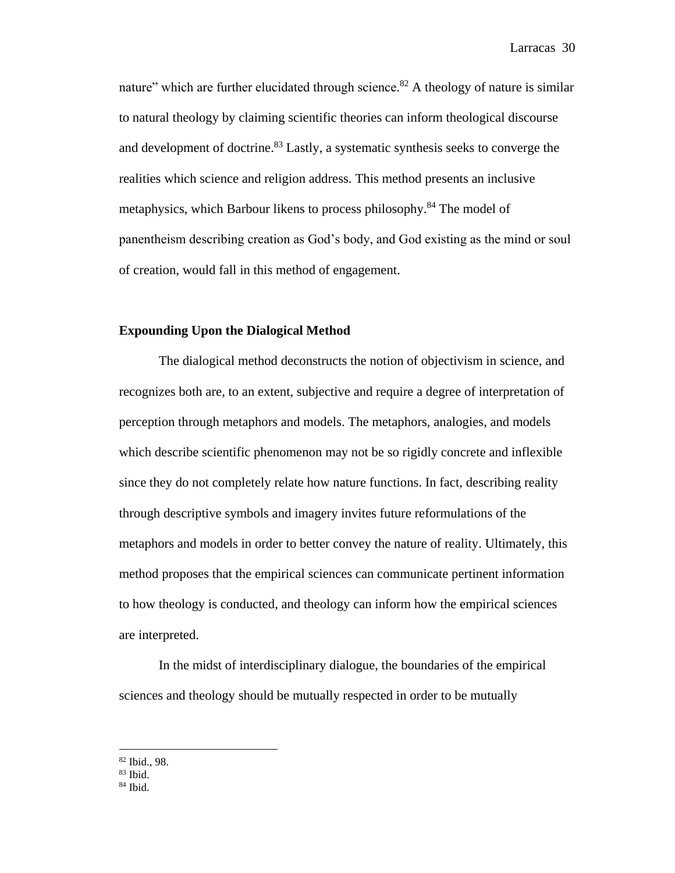nature" which are further elucidated through science.<sup>82</sup> A theology of nature is similar to natural theology by claiming scientific theories can inform theological discourse and development of doctrine.<sup>83</sup> Lastly, a systematic synthesis seeks to converge the realities which science and religion address. This method presents an inclusive metaphysics, which Barbour likens to process philosophy.<sup>84</sup> The model of panentheism describing creation as God's body, and God existing as the mind or soul of creation, would fall in this method of engagement.

# **Expounding Upon the Dialogical Method**

The dialogical method deconstructs the notion of objectivism in science, and recognizes both are, to an extent, subjective and require a degree of interpretation of perception through metaphors and models. The metaphors, analogies, and models which describe scientific phenomenon may not be so rigidly concrete and inflexible since they do not completely relate how nature functions. In fact, describing reality through descriptive symbols and imagery invites future reformulations of the metaphors and models in order to better convey the nature of reality. Ultimately, this method proposes that the empirical sciences can communicate pertinent information to how theology is conducted, and theology can inform how the empirical sciences are interpreted.

In the midst of interdisciplinary dialogue, the boundaries of the empirical sciences and theology should be mutually respected in order to be mutually

<sup>82</sup> Ibid., 98.

<sup>83</sup> Ibid.

 $84$  Ibid.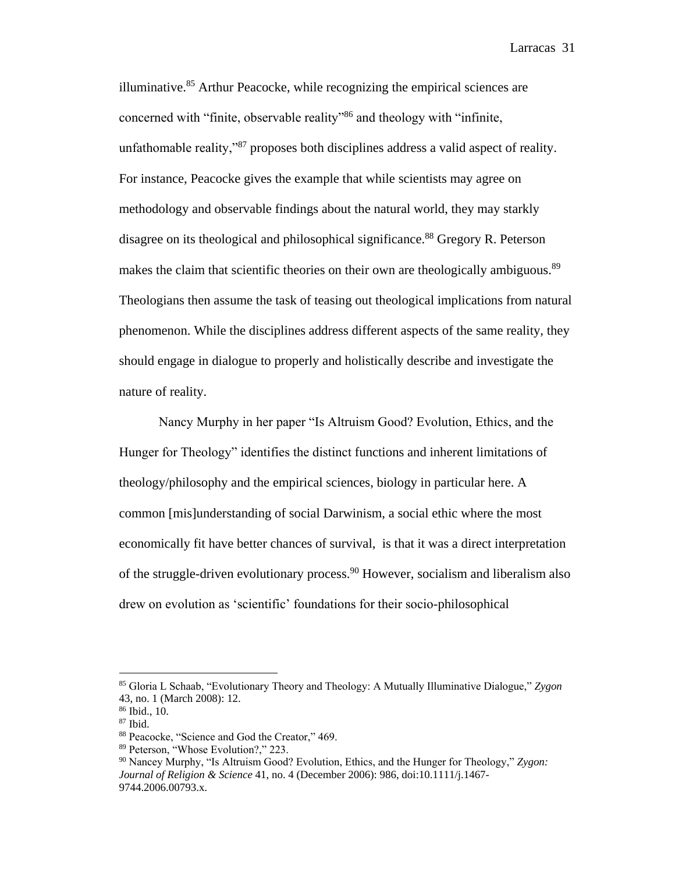illuminative. $85$  Arthur Peacocke, while recognizing the empirical sciences are concerned with "finite, observable reality"<sup>86</sup> and theology with "infinite, unfathomable reality,"<sup>87</sup> proposes both disciplines address a valid aspect of reality. For instance, Peacocke gives the example that while scientists may agree on methodology and observable findings about the natural world, they may starkly disagree on its theological and philosophical significance.<sup>88</sup> Gregory R. Peterson makes the claim that scientific theories on their own are theologically ambiguous.<sup>89</sup> Theologians then assume the task of teasing out theological implications from natural phenomenon. While the disciplines address different aspects of the same reality, they should engage in dialogue to properly and holistically describe and investigate the nature of reality.

Nancy Murphy in her paper "Is Altruism Good? Evolution, Ethics, and the Hunger for Theology" identifies the distinct functions and inherent limitations of theology/philosophy and the empirical sciences, biology in particular here. A common [mis]understanding of social Darwinism, a social ethic where the most economically fit have better chances of survival, is that it was a direct interpretation of the struggle-driven evolutionary process.<sup>90</sup> However, socialism and liberalism also drew on evolution as 'scientific' foundations for their socio-philosophical

<sup>85</sup> Gloria L Schaab, "Evolutionary Theory and Theology: A Mutually Illuminative Dialogue," *Zygon* 43, no. 1 (March 2008): 12.

<sup>86</sup> Ibid., 10.

 $87$  Ibid.

<sup>88</sup> Peacocke, "Science and God the Creator," 469.

<sup>89</sup> Peterson, "Whose Evolution?," 223.

<sup>90</sup> Nancey Murphy, "Is Altruism Good? Evolution, Ethics, and the Hunger for Theology," *Zygon: Journal of Religion & Science* 41, no. 4 (December 2006): 986, doi:10.1111/j.1467- 9744.2006.00793.x.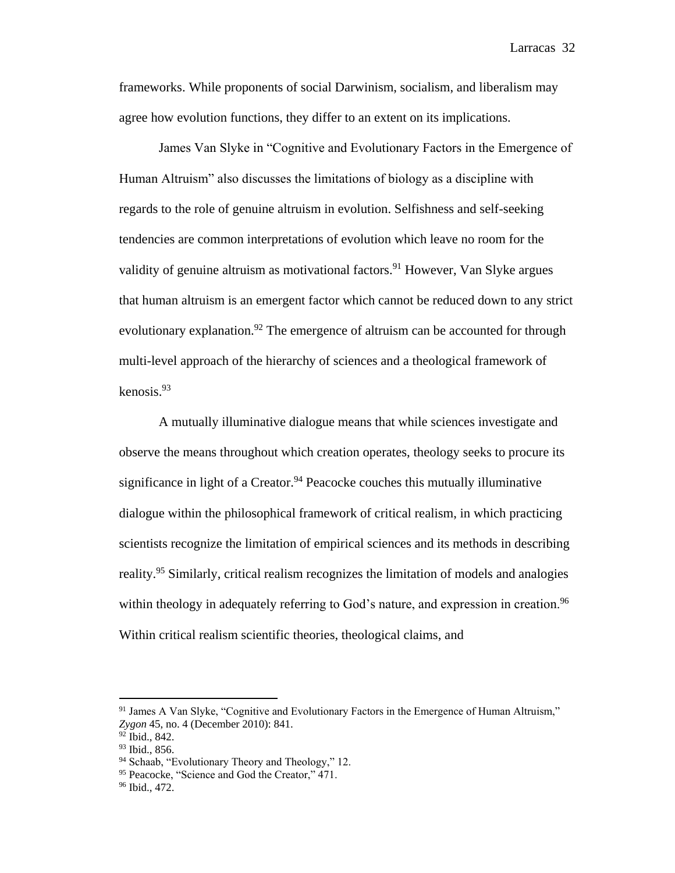frameworks. While proponents of social Darwinism, socialism, and liberalism may agree how evolution functions, they differ to an extent on its implications.

James Van Slyke in "Cognitive and Evolutionary Factors in the Emergence of Human Altruism" also discusses the limitations of biology as a discipline with regards to the role of genuine altruism in evolution. Selfishness and self-seeking tendencies are common interpretations of evolution which leave no room for the validity of genuine altruism as motivational factors.<sup>91</sup> However, Van Slyke argues that human altruism is an emergent factor which cannot be reduced down to any strict evolutionary explanation.<sup>92</sup> The emergence of altruism can be accounted for through multi-level approach of the hierarchy of sciences and a theological framework of kenosis.<sup>93</sup>

A mutually illuminative dialogue means that while sciences investigate and observe the means throughout which creation operates, theology seeks to procure its significance in light of a Creator.<sup>94</sup> Peacocke couches this mutually illuminative dialogue within the philosophical framework of critical realism, in which practicing scientists recognize the limitation of empirical sciences and its methods in describing reality.<sup>95</sup> Similarly, critical realism recognizes the limitation of models and analogies within theology in adequately referring to God's nature, and expression in creation.<sup>96</sup> Within critical realism scientific theories, theological claims, and

<sup>&</sup>lt;sup>91</sup> James A Van Slyke, "Cognitive and Evolutionary Factors in the Emergence of Human Altruism," *Zygon* 45, no. 4 (December 2010): 841.

 $92$  Ibid., 842.

<sup>93</sup> Ibid., 856.

<sup>94</sup> Schaab, "Evolutionary Theory and Theology," 12.

<sup>&</sup>lt;sup>95</sup> Peacocke, "Science and God the Creator," 471.

<sup>96</sup> Ibid., 472.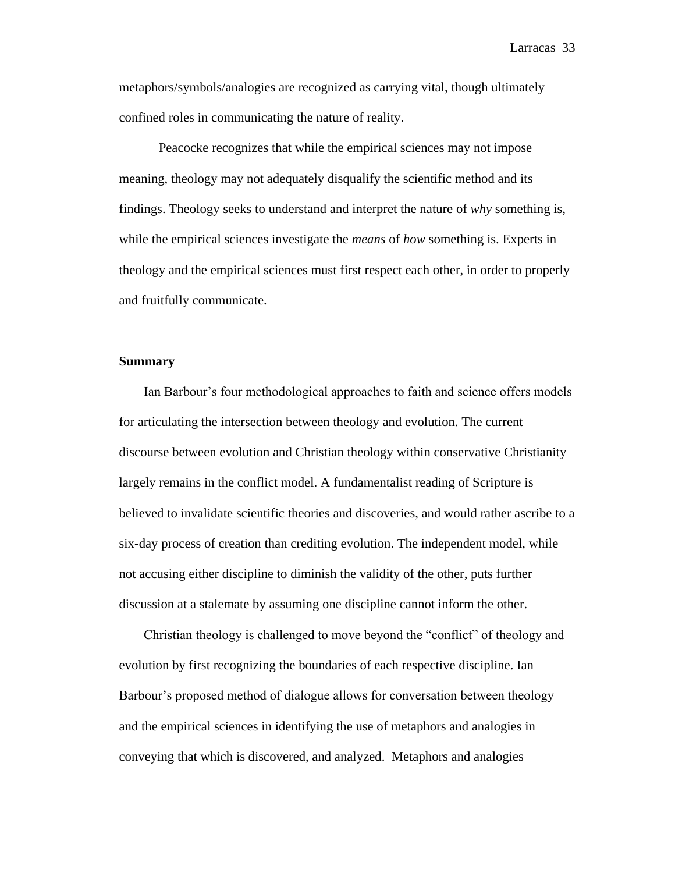metaphors/symbols/analogies are recognized as carrying vital, though ultimately confined roles in communicating the nature of reality.

Peacocke recognizes that while the empirical sciences may not impose meaning, theology may not adequately disqualify the scientific method and its findings. Theology seeks to understand and interpret the nature of *why* something is, while the empirical sciences investigate the *means* of *how* something is. Experts in theology and the empirical sciences must first respect each other, in order to properly and fruitfully communicate.

## **Summary**

Ian Barbour's four methodological approaches to faith and science offers models for articulating the intersection between theology and evolution. The current discourse between evolution and Christian theology within conservative Christianity largely remains in the conflict model. A fundamentalist reading of Scripture is believed to invalidate scientific theories and discoveries, and would rather ascribe to a six-day process of creation than crediting evolution. The independent model, while not accusing either discipline to diminish the validity of the other, puts further discussion at a stalemate by assuming one discipline cannot inform the other.

Christian theology is challenged to move beyond the "conflict" of theology and evolution by first recognizing the boundaries of each respective discipline. Ian Barbour's proposed method of dialogue allows for conversation between theology and the empirical sciences in identifying the use of metaphors and analogies in conveying that which is discovered, and analyzed. Metaphors and analogies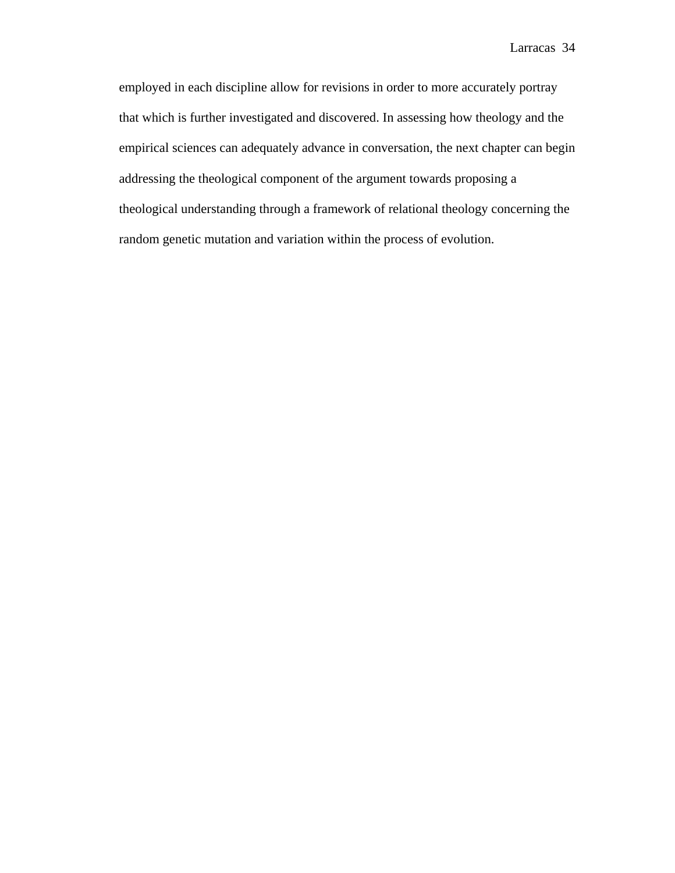employed in each discipline allow for revisions in order to more accurately portray that which is further investigated and discovered. In assessing how theology and the empirical sciences can adequately advance in conversation, the next chapter can begin addressing the theological component of the argument towards proposing a theological understanding through a framework of relational theology concerning the random genetic mutation and variation within the process of evolution.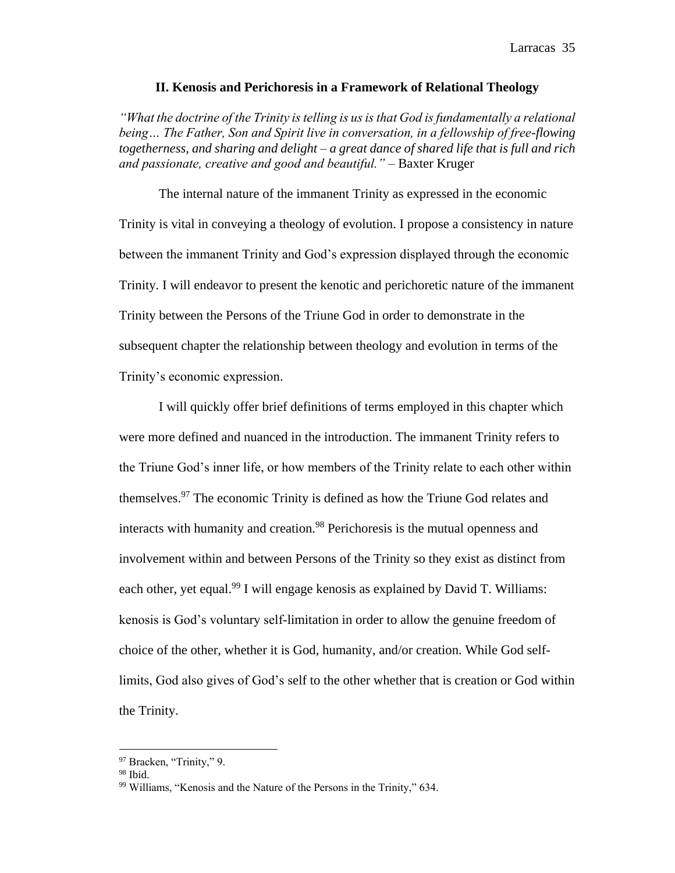#### **II. Kenosis and Perichoresis in a Framework of Relational Theology**

*"What the doctrine of the Trinity is telling is us is that God is fundamentally a relational being… The Father, Son and Spirit live in conversation, in a fellowship of free-flowing togetherness, and sharing and delight – a great dance of shared life that is full and rich and passionate, creative and good and beautiful." –* Baxter Kruger

The internal nature of the immanent Trinity as expressed in the economic Trinity is vital in conveying a theology of evolution. I propose a consistency in nature between the immanent Trinity and God's expression displayed through the economic Trinity. I will endeavor to present the kenotic and perichoretic nature of the immanent Trinity between the Persons of the Triune God in order to demonstrate in the subsequent chapter the relationship between theology and evolution in terms of the Trinity's economic expression.

I will quickly offer brief definitions of terms employed in this chapter which were more defined and nuanced in the introduction. The immanent Trinity refers to the Triune God's inner life, or how members of the Trinity relate to each other within themselves.<sup>97</sup> The economic Trinity is defined as how the Triune God relates and interacts with humanity and creation.<sup>98</sup> Perichoresis is the mutual openness and involvement within and between Persons of the Trinity so they exist as distinct from each other, yet equal.<sup>99</sup> I will engage kenosis as explained by David T. Williams: kenosis is God's voluntary self-limitation in order to allow the genuine freedom of choice of the other, whether it is God, humanity, and/or creation. While God selflimits, God also gives of God's self to the other whether that is creation or God within the Trinity.

<sup>97</sup> Bracken, "Trinity," 9.

 $98$  Ibid.

<sup>&</sup>lt;sup>99</sup> Williams, "Kenosis and the Nature of the Persons in the Trinity," 634.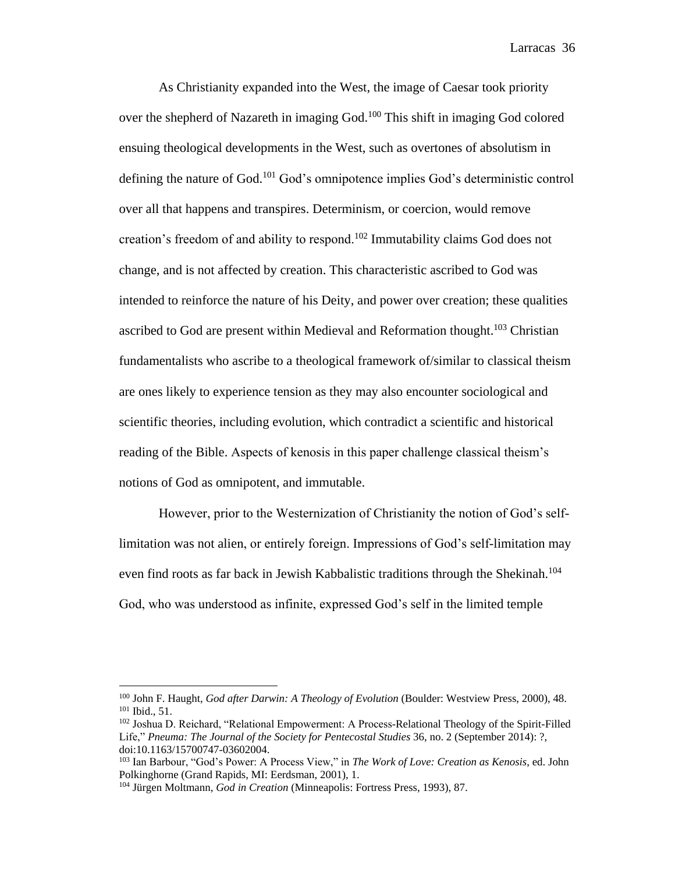As Christianity expanded into the West, the image of Caesar took priority over the shepherd of Nazareth in imaging God.<sup>100</sup> This shift in imaging God colored ensuing theological developments in the West, such as overtones of absolutism in defining the nature of God.<sup>101</sup> God's omnipotence implies God's deterministic control over all that happens and transpires. Determinism, or coercion, would remove creation's freedom of and ability to respond.<sup>102</sup> Immutability claims God does not change, and is not affected by creation. This characteristic ascribed to God was intended to reinforce the nature of his Deity, and power over creation; these qualities ascribed to God are present within Medieval and Reformation thought.<sup>103</sup> Christian fundamentalists who ascribe to a theological framework of/similar to classical theism are ones likely to experience tension as they may also encounter sociological and scientific theories, including evolution, which contradict a scientific and historical reading of the Bible. Aspects of kenosis in this paper challenge classical theism's notions of God as omnipotent, and immutable.

However, prior to the Westernization of Christianity the notion of God's selflimitation was not alien, or entirely foreign. Impressions of God's self-limitation may even find roots as far back in Jewish Kabbalistic traditions through the Shekinah.<sup>104</sup> God, who was understood as infinite, expressed God's self in the limited temple

<sup>100</sup> John F. Haught, *God after Darwin: A Theology of Evolution* (Boulder: Westview Press, 2000), 48. <sup>101</sup> Ibid., 51.

<sup>102</sup> Joshua D. Reichard, "Relational Empowerment: A Process-Relational Theology of the Spirit-Filled Life," *Pneuma: The Journal of the Society for Pentecostal Studies* 36, no. 2 (September 2014): ?, doi:10.1163/15700747-03602004.

<sup>103</sup> Ian Barbour, "God's Power: A Process View," in *The Work of Love: Creation as Kenosis*, ed. John Polkinghorne (Grand Rapids, MI: Eerdsman, 2001), 1.

<sup>104</sup> Jürgen Moltmann, *God in Creation* (Minneapolis: Fortress Press, 1993), 87.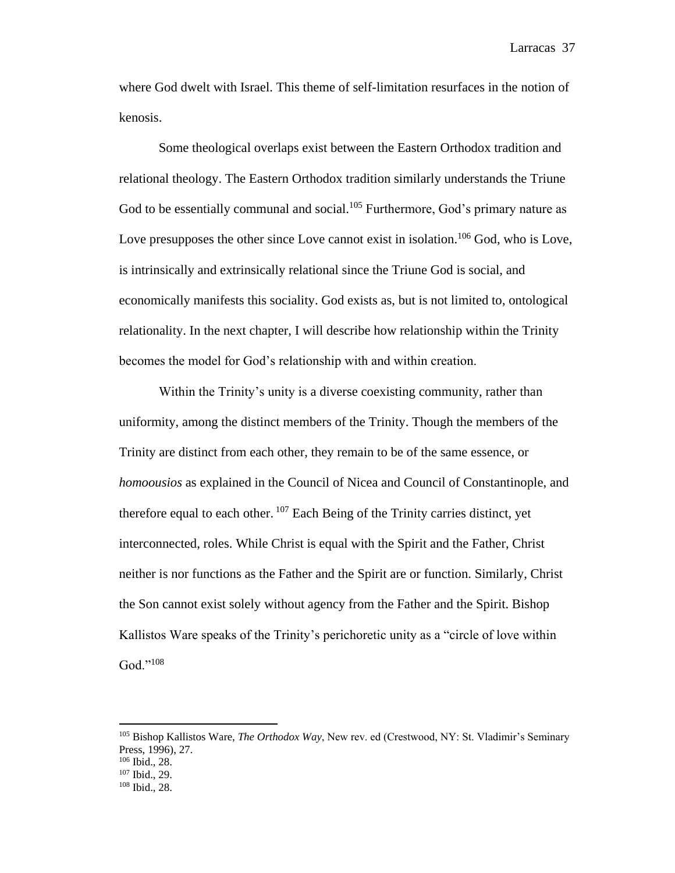where God dwelt with Israel. This theme of self-limitation resurfaces in the notion of kenosis.

Some theological overlaps exist between the Eastern Orthodox tradition and relational theology. The Eastern Orthodox tradition similarly understands the Triune God to be essentially communal and social.<sup>105</sup> Furthermore, God's primary nature as Love presupposes the other since Love cannot exist in isolation.<sup>106</sup> God, who is Love, is intrinsically and extrinsically relational since the Triune God is social, and economically manifests this sociality. God exists as, but is not limited to, ontological relationality. In the next chapter, I will describe how relationship within the Trinity becomes the model for God's relationship with and within creation.

Within the Trinity's unity is a diverse coexisting community, rather than uniformity, among the distinct members of the Trinity. Though the members of the Trinity are distinct from each other, they remain to be of the same essence, or *homoousios* as explained in the Council of Nicea and Council of Constantinople, and therefore equal to each other.  $107$  Each Being of the Trinity carries distinct, yet interconnected, roles. While Christ is equal with the Spirit and the Father, Christ neither is nor functions as the Father and the Spirit are or function. Similarly, Christ the Son cannot exist solely without agency from the Father and the Spirit. Bishop Kallistos Ware speaks of the Trinity's perichoretic unity as a "circle of love within God."<sup>108</sup>

<sup>105</sup> Bishop Kallistos Ware, *The Orthodox Way*, New rev. ed (Crestwood, NY: St. Vladimir's Seminary Press, 1996), 27.

<sup>106</sup> Ibid., 28.

<sup>107</sup> Ibid., 29.

<sup>108</sup> Ibid., 28.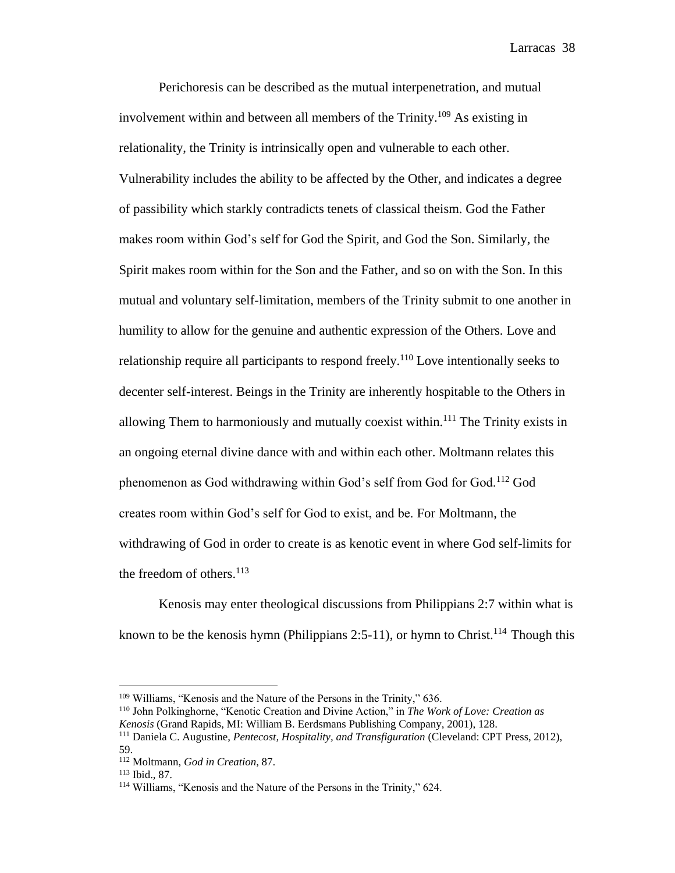Perichoresis can be described as the mutual interpenetration, and mutual involvement within and between all members of the Trinity.<sup>109</sup> As existing in relationality, the Trinity is intrinsically open and vulnerable to each other. Vulnerability includes the ability to be affected by the Other, and indicates a degree of passibility which starkly contradicts tenets of classical theism. God the Father makes room within God's self for God the Spirit, and God the Son. Similarly, the Spirit makes room within for the Son and the Father, and so on with the Son. In this mutual and voluntary self-limitation, members of the Trinity submit to one another in humility to allow for the genuine and authentic expression of the Others. Love and relationship require all participants to respond freely.<sup>110</sup> Love intentionally seeks to decenter self-interest. Beings in the Trinity are inherently hospitable to the Others in allowing Them to harmoniously and mutually coexist within.<sup>111</sup> The Trinity exists in an ongoing eternal divine dance with and within each other. Moltmann relates this phenomenon as God withdrawing within God's self from God for God.<sup>112</sup> God creates room within God's self for God to exist, and be. For Moltmann, the withdrawing of God in order to create is as kenotic event in where God self-limits for the freedom of others. $113$ 

Kenosis may enter theological discussions from Philippians 2:7 within what is known to be the kenosis hymn (Philippians 2:5-11), or hymn to Christ.<sup>114</sup> Though this

<sup>&</sup>lt;sup>109</sup> Williams, "Kenosis and the Nature of the Persons in the Trinity," 636.

<sup>110</sup> John Polkinghorne, "Kenotic Creation and Divine Action," in *The Work of Love: Creation as Kenosis* (Grand Rapids, MI: William B. Eerdsmans Publishing Company, 2001), 128.

<sup>111</sup> Daniela C. Augustine, *Pentecost, Hospitality, and Transfiguration* (Cleveland: CPT Press, 2012), 59.

<sup>112</sup> Moltmann, *God in Creation*, 87.

<sup>113</sup> Ibid., 87.

<sup>114</sup> Williams, "Kenosis and the Nature of the Persons in the Trinity," 624.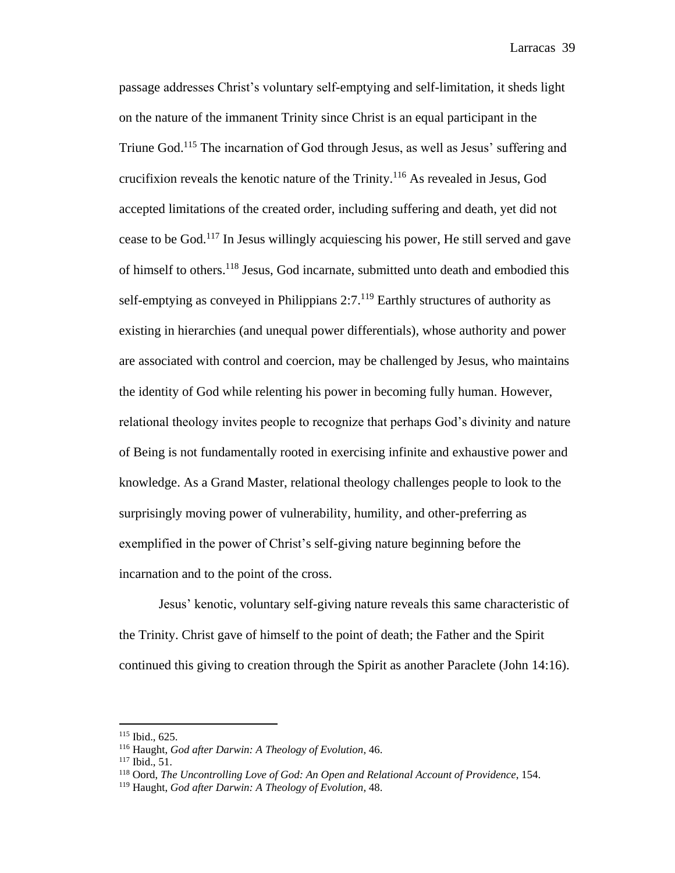passage addresses Christ's voluntary self-emptying and self-limitation, it sheds light on the nature of the immanent Trinity since Christ is an equal participant in the Triune God.<sup>115</sup> The incarnation of God through Jesus, as well as Jesus' suffering and crucifixion reveals the kenotic nature of the Trinity.<sup>116</sup> As revealed in Jesus, God accepted limitations of the created order, including suffering and death, yet did not cease to be God.<sup>117</sup> In Jesus willingly acquiescing his power, He still served and gave of himself to others.<sup>118</sup> Jesus, God incarnate, submitted unto death and embodied this self-emptying as conveyed in Philippians  $2:7$ .<sup>119</sup> Earthly structures of authority as existing in hierarchies (and unequal power differentials), whose authority and power are associated with control and coercion, may be challenged by Jesus, who maintains the identity of God while relenting his power in becoming fully human. However, relational theology invites people to recognize that perhaps God's divinity and nature of Being is not fundamentally rooted in exercising infinite and exhaustive power and knowledge. As a Grand Master, relational theology challenges people to look to the surprisingly moving power of vulnerability, humility, and other-preferring as exemplified in the power of Christ's self-giving nature beginning before the incarnation and to the point of the cross.

Jesus' kenotic, voluntary self-giving nature reveals this same characteristic of the Trinity. Christ gave of himself to the point of death; the Father and the Spirit continued this giving to creation through the Spirit as another Paraclete (John 14:16).

<sup>115</sup> Ibid., 625.

<sup>116</sup> Haught, *God after Darwin: A Theology of Evolution*, 46.

<sup>117</sup> Ibid., 51.

<sup>118</sup> Oord, *The Uncontrolling Love of God: An Open and Relational Account of Providence*, 154.

<sup>119</sup> Haught, *God after Darwin: A Theology of Evolution*, 48.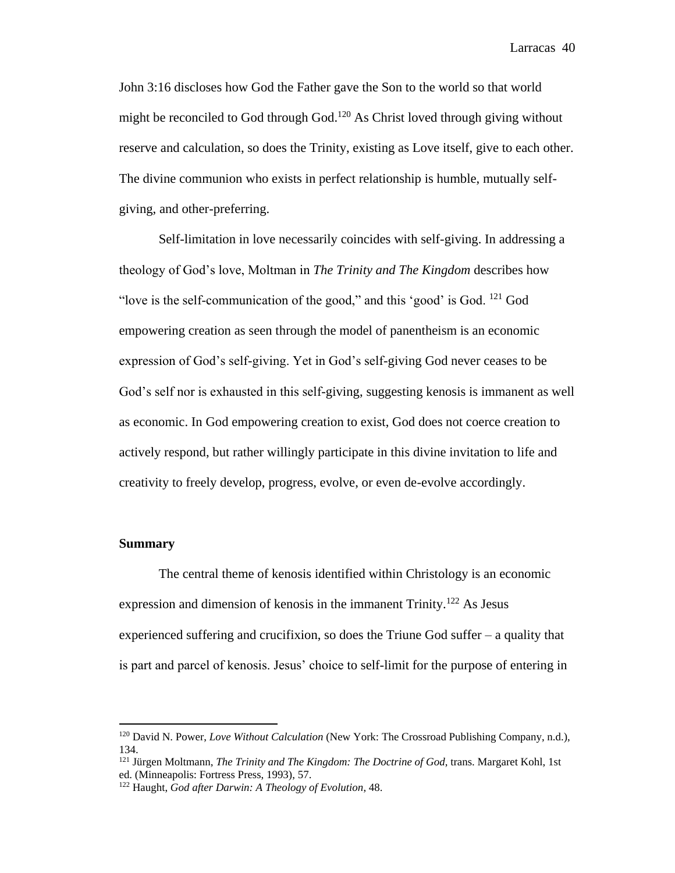John 3:16 discloses how God the Father gave the Son to the world so that world might be reconciled to God through God.<sup>120</sup> As Christ loved through giving without reserve and calculation, so does the Trinity, existing as Love itself, give to each other. The divine communion who exists in perfect relationship is humble, mutually selfgiving, and other-preferring.

Self-limitation in love necessarily coincides with self-giving. In addressing a theology of God's love, Moltman in *The Trinity and The Kingdom* describes how "love is the self-communication of the good," and this 'good' is God.  $^{121}$  God empowering creation as seen through the model of panentheism is an economic expression of God's self-giving. Yet in God's self-giving God never ceases to be God's self nor is exhausted in this self-giving, suggesting kenosis is immanent as well as economic. In God empowering creation to exist, God does not coerce creation to actively respond, but rather willingly participate in this divine invitation to life and creativity to freely develop, progress, evolve, or even de-evolve accordingly.

# **Summary**

 $\overline{a}$ 

The central theme of kenosis identified within Christology is an economic expression and dimension of kenosis in the immanent Trinity.<sup>122</sup> As Jesus experienced suffering and crucifixion, so does the Triune God suffer – a quality that is part and parcel of kenosis. Jesus' choice to self-limit for the purpose of entering in

<sup>120</sup> David N. Power, *Love Without Calculation* (New York: The Crossroad Publishing Company, n.d.), 134.

<sup>121</sup> Jürgen Moltmann, *The Trinity and The Kingdom: The Doctrine of God*, trans. Margaret Kohl, 1st ed. (Minneapolis: Fortress Press, 1993), 57.

<sup>122</sup> Haught, *God after Darwin: A Theology of Evolution*, 48.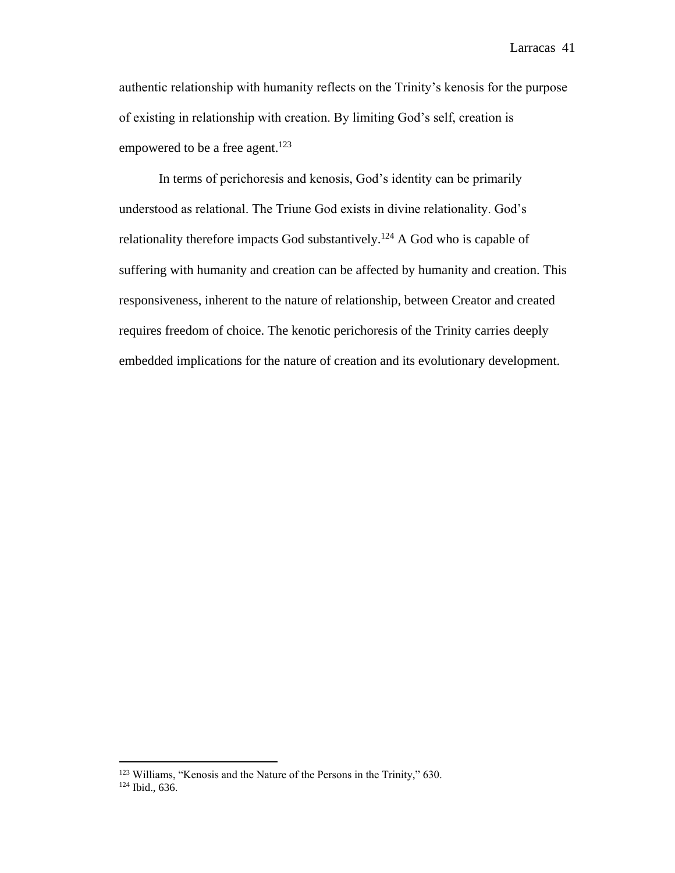authentic relationship with humanity reflects on the Trinity's kenosis for the purpose of existing in relationship with creation. By limiting God's self, creation is empowered to be a free agent.<sup>123</sup>

In terms of perichoresis and kenosis, God's identity can be primarily understood as relational. The Triune God exists in divine relationality. God's relationality therefore impacts God substantively.<sup>124</sup> A God who is capable of suffering with humanity and creation can be affected by humanity and creation. This responsiveness, inherent to the nature of relationship, between Creator and created requires freedom of choice. The kenotic perichoresis of the Trinity carries deeply embedded implications for the nature of creation and its evolutionary development.

<sup>&</sup>lt;sup>123</sup> Williams, "Kenosis and the Nature of the Persons in the Trinity," 630. <sup>124</sup> Ibid., 636.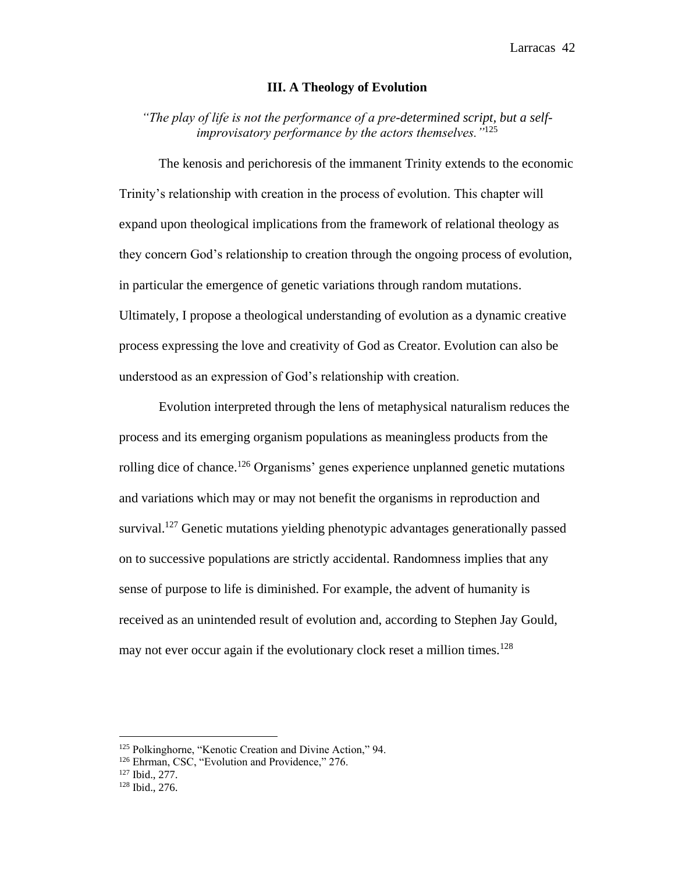## **III. A Theology of Evolution**

*"The play of life is not the performance of a pre-determined script, but a selfimprovisatory performance by the actors themselves."*<sup>125</sup>

The kenosis and perichoresis of the immanent Trinity extends to the economic Trinity's relationship with creation in the process of evolution. This chapter will expand upon theological implications from the framework of relational theology as they concern God's relationship to creation through the ongoing process of evolution, in particular the emergence of genetic variations through random mutations. Ultimately, I propose a theological understanding of evolution as a dynamic creative process expressing the love and creativity of God as Creator. Evolution can also be understood as an expression of God's relationship with creation.

Evolution interpreted through the lens of metaphysical naturalism reduces the process and its emerging organism populations as meaningless products from the rolling dice of chance.<sup>126</sup> Organisms' genes experience unplanned genetic mutations and variations which may or may not benefit the organisms in reproduction and survival.<sup>127</sup> Genetic mutations yielding phenotypic advantages generationally passed on to successive populations are strictly accidental. Randomness implies that any sense of purpose to life is diminished. For example, the advent of humanity is received as an unintended result of evolution and, according to Stephen Jay Gould, may not ever occur again if the evolutionary clock reset a million times.<sup>128</sup>

<sup>127</sup> Ibid., 277.

<sup>125</sup> Polkinghorne, "Kenotic Creation and Divine Action," 94.

<sup>&</sup>lt;sup>126</sup> Ehrman, CSC, "Evolution and Providence," 276.

<sup>128</sup> Ibid., 276.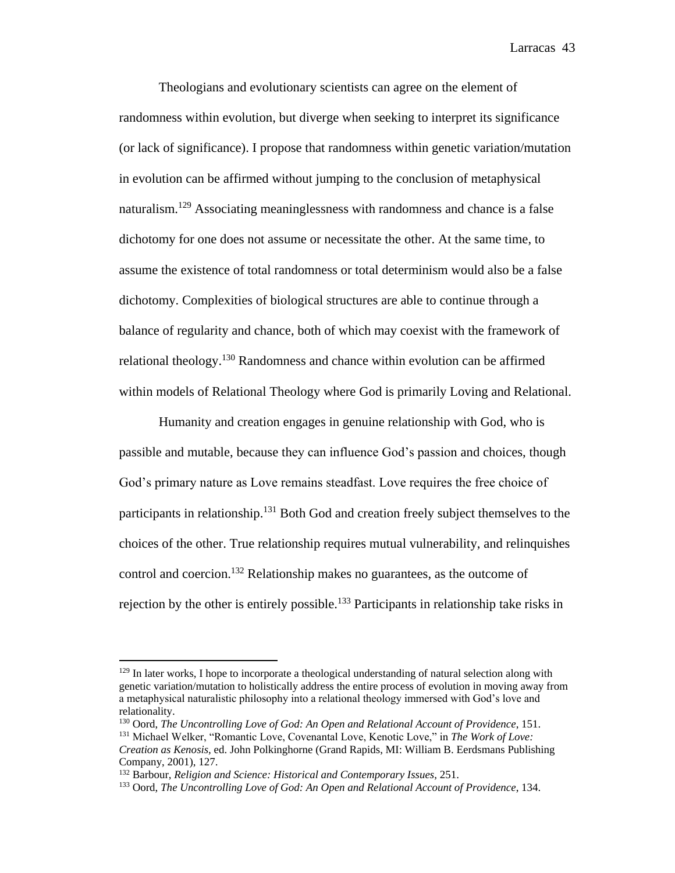Theologians and evolutionary scientists can agree on the element of randomness within evolution, but diverge when seeking to interpret its significance (or lack of significance). I propose that randomness within genetic variation/mutation in evolution can be affirmed without jumping to the conclusion of metaphysical naturalism.<sup>129</sup> Associating meaninglessness with randomness and chance is a false dichotomy for one does not assume or necessitate the other. At the same time, to assume the existence of total randomness or total determinism would also be a false dichotomy. Complexities of biological structures are able to continue through a balance of regularity and chance, both of which may coexist with the framework of relational theology.<sup>130</sup> Randomness and chance within evolution can be affirmed within models of Relational Theology where God is primarily Loving and Relational.

Humanity and creation engages in genuine relationship with God, who is passible and mutable, because they can influence God's passion and choices, though God's primary nature as Love remains steadfast. Love requires the free choice of participants in relationship.<sup>131</sup> Both God and creation freely subject themselves to the choices of the other. True relationship requires mutual vulnerability, and relinquishes control and coercion.<sup>132</sup> Relationship makes no guarantees, as the outcome of rejection by the other is entirely possible.<sup>133</sup> Participants in relationship take risks in

<sup>&</sup>lt;sup>129</sup> In later works, I hope to incorporate a theological understanding of natural selection along with genetic variation/mutation to holistically address the entire process of evolution in moving away from a metaphysical naturalistic philosophy into a relational theology immersed with God's love and relationality.

<sup>130</sup> Oord, *The Uncontrolling Love of God: An Open and Relational Account of Providence*, 151.

<sup>131</sup> Michael Welker, "Romantic Love, Covenantal Love, Kenotic Love," in *The Work of Love: Creation as Kenosis*, ed. John Polkinghorne (Grand Rapids, MI: William B. Eerdsmans Publishing Company, 2001), 127.

<sup>132</sup> Barbour, *Religion and Science: Historical and Contemporary Issues*, 251.

<sup>133</sup> Oord, *The Uncontrolling Love of God: An Open and Relational Account of Providence*, 134.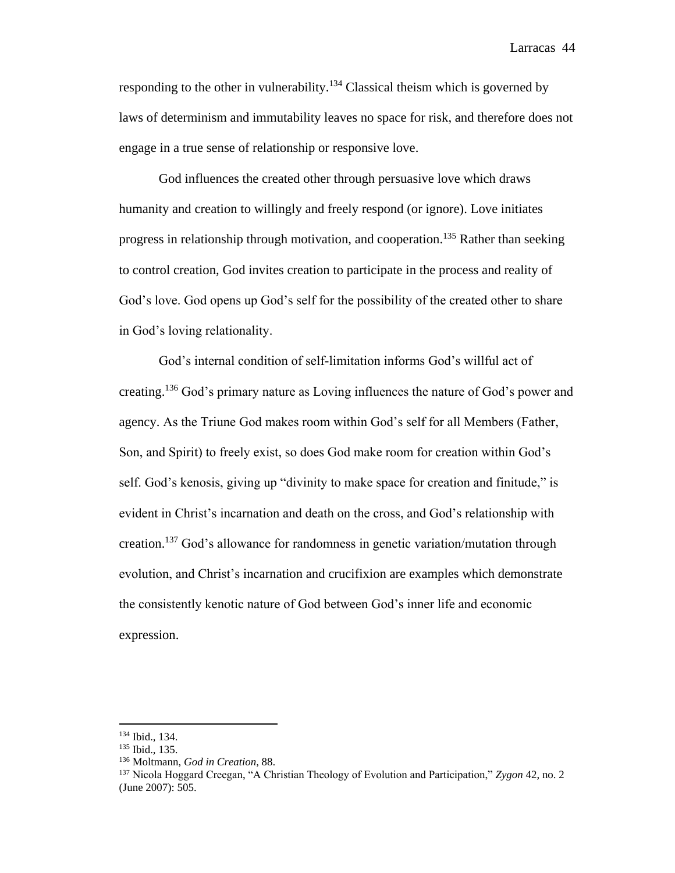responding to the other in vulnerability.<sup>134</sup> Classical theism which is governed by laws of determinism and immutability leaves no space for risk, and therefore does not engage in a true sense of relationship or responsive love.

God influences the created other through persuasive love which draws humanity and creation to willingly and freely respond (or ignore). Love initiates progress in relationship through motivation, and cooperation.<sup>135</sup> Rather than seeking to control creation, God invites creation to participate in the process and reality of God's love. God opens up God's self for the possibility of the created other to share in God's loving relationality.

God's internal condition of self-limitation informs God's willful act of creating.<sup>136</sup> God's primary nature as Loving influences the nature of God's power and agency. As the Triune God makes room within God's self for all Members (Father, Son, and Spirit) to freely exist, so does God make room for creation within God's self. God's kenosis, giving up "divinity to make space for creation and finitude," is evident in Christ's incarnation and death on the cross, and God's relationship with creation.<sup>137</sup> God's allowance for randomness in genetic variation/mutation through evolution, and Christ's incarnation and crucifixion are examples which demonstrate the consistently kenotic nature of God between God's inner life and economic expression.

<sup>134</sup> Ibid., 134.

<sup>135</sup> Ibid., 135.

<sup>136</sup> Moltmann, *God in Creation*, 88.

<sup>137</sup> Nicola Hoggard Creegan, "A Christian Theology of Evolution and Participation," *Zygon* 42, no. 2 (June 2007): 505.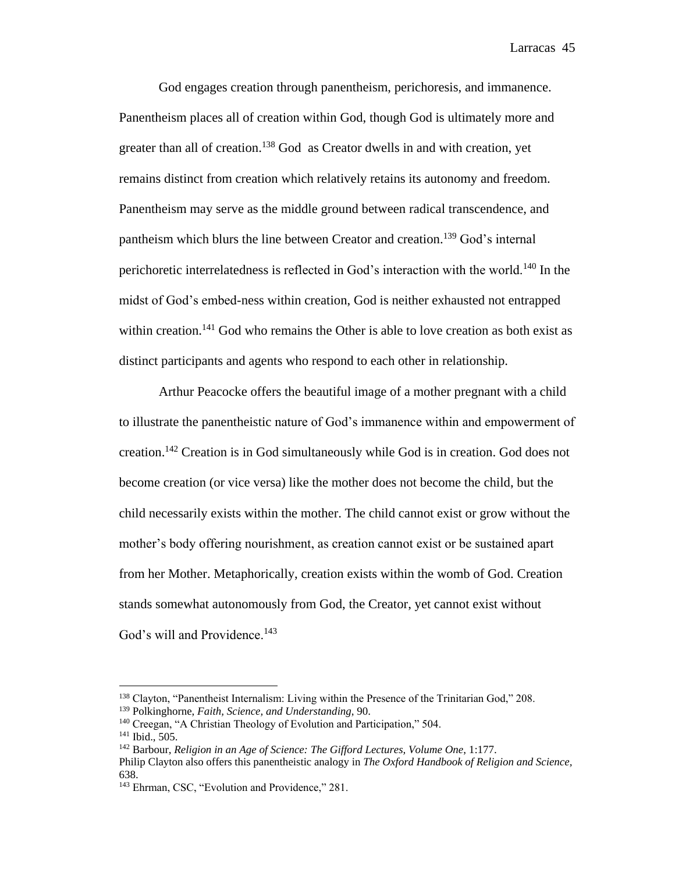God engages creation through panentheism, perichoresis, and immanence. Panentheism places all of creation within God, though God is ultimately more and greater than all of creation.<sup>138</sup> God as Creator dwells in and with creation, yet remains distinct from creation which relatively retains its autonomy and freedom. Panentheism may serve as the middle ground between radical transcendence, and pantheism which blurs the line between Creator and creation.<sup>139</sup> God's internal perichoretic interrelatedness is reflected in God's interaction with the world.<sup>140</sup> In the midst of God's embed-ness within creation, God is neither exhausted not entrapped within creation.<sup>141</sup> God who remains the Other is able to love creation as both exist as distinct participants and agents who respond to each other in relationship.

Arthur Peacocke offers the beautiful image of a mother pregnant with a child to illustrate the panentheistic nature of God's immanence within and empowerment of creation.<sup>142</sup> Creation is in God simultaneously while God is in creation. God does not become creation (or vice versa) like the mother does not become the child, but the child necessarily exists within the mother. The child cannot exist or grow without the mother's body offering nourishment, as creation cannot exist or be sustained apart from her Mother. Metaphorically, creation exists within the womb of God. Creation stands somewhat autonomously from God, the Creator, yet cannot exist without God's will and Providence.<sup>143</sup>

<sup>138</sup> Clayton, "Panentheist Internalism: Living within the Presence of the Trinitarian God," 208.

<sup>139</sup> Polkinghorne, *Faith, Science, and Understanding*, 90.

<sup>&</sup>lt;sup>140</sup> Creegan, "A Christian Theology of Evolution and Participation," 504.

<sup>141</sup> Ibid., 505.

<sup>142</sup> Barbour, *Religion in an Age of Science: The Gifford Lectures, Volume One*, 1:177.

Philip Clayton also offers this panentheistic analogy in *The Oxford Handbook of Religion and Science,*  638.

<sup>143</sup> Ehrman, CSC, "Evolution and Providence," 281.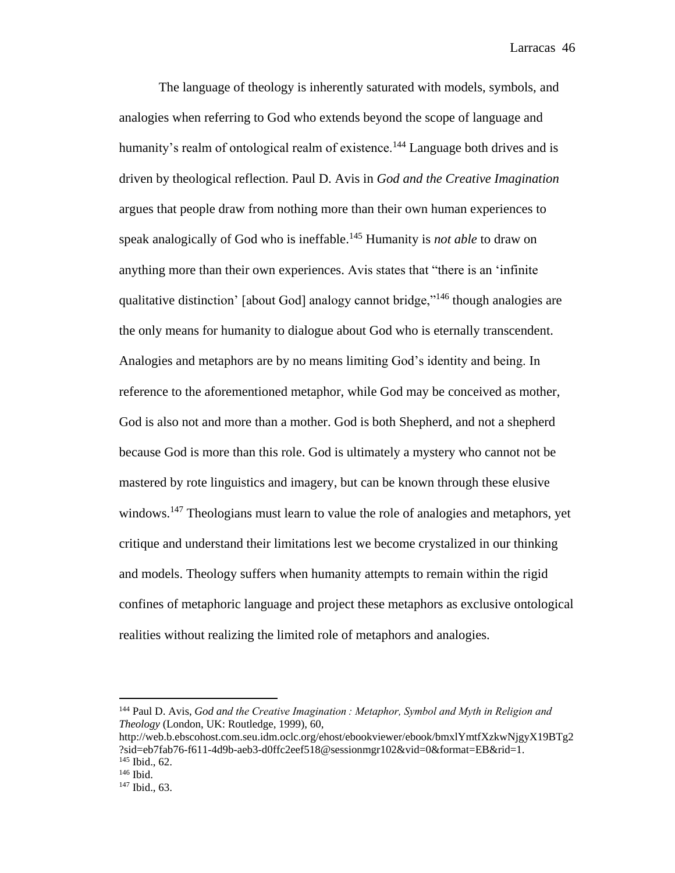The language of theology is inherently saturated with models, symbols, and analogies when referring to God who extends beyond the scope of language and humanity's realm of ontological realm of existence.<sup>144</sup> Language both drives and is driven by theological reflection. Paul D. Avis in *God and the Creative Imagination* argues that people draw from nothing more than their own human experiences to speak analogically of God who is ineffable.<sup>145</sup> Humanity is *not able* to draw on anything more than their own experiences. Avis states that "there is an 'infinite qualitative distinction' [about God] analogy cannot bridge,"<sup>146</sup> though analogies are the only means for humanity to dialogue about God who is eternally transcendent. Analogies and metaphors are by no means limiting God's identity and being. In reference to the aforementioned metaphor, while God may be conceived as mother, God is also not and more than a mother. God is both Shepherd, and not a shepherd because God is more than this role. God is ultimately a mystery who cannot not be mastered by rote linguistics and imagery, but can be known through these elusive windows.<sup>147</sup> Theologians must learn to value the role of analogies and metaphors, yet critique and understand their limitations lest we become crystalized in our thinking and models. Theology suffers when humanity attempts to remain within the rigid confines of metaphoric language and project these metaphors as exclusive ontological realities without realizing the limited role of metaphors and analogies.

<sup>144</sup> Paul D. Avis, *God and the Creative Imagination : Metaphor, Symbol and Myth in Religion and Theology* (London, UK: Routledge, 1999), 60,

http://web.b.ebscohost.com.seu.idm.oclc.org/ehost/ebookviewer/ebook/bmxlYmtfXzkwNjgyX19BTg2 ?sid=eb7fab76-f611-4d9b-aeb3-d0ffc2eef518@sessionmgr102&vid=0&format=EB&rid=1. <sup>145</sup> Ibid., 62.

<sup>146</sup> Ibid.

<sup>147</sup> Ibid., 63.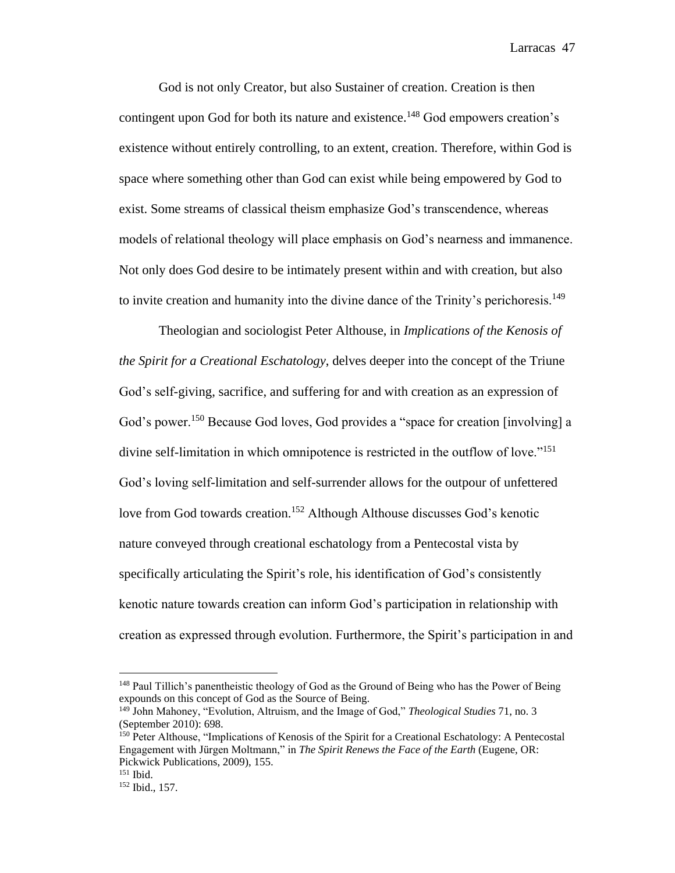God is not only Creator, but also Sustainer of creation. Creation is then contingent upon God for both its nature and existence.<sup>148</sup> God empowers creation's existence without entirely controlling, to an extent, creation. Therefore, within God is space where something other than God can exist while being empowered by God to exist. Some streams of classical theism emphasize God's transcendence, whereas models of relational theology will place emphasis on God's nearness and immanence. Not only does God desire to be intimately present within and with creation, but also to invite creation and humanity into the divine dance of the Trinity's perichoresis.<sup>149</sup>

Theologian and sociologist Peter Althouse, in *Implications of the Kenosis of the Spirit for a Creational Eschatology*, delves deeper into the concept of the Triune God's self-giving, sacrifice, and suffering for and with creation as an expression of God's power.<sup>150</sup> Because God loves, God provides a "space for creation [involving] a divine self-limitation in which omnipotence is restricted in the outflow of love."<sup>151</sup> God's loving self-limitation and self-surrender allows for the outpour of unfettered love from God towards creation.<sup>152</sup> Although Althouse discusses God's kenotic nature conveyed through creational eschatology from a Pentecostal vista by specifically articulating the Spirit's role, his identification of God's consistently kenotic nature towards creation can inform God's participation in relationship with creation as expressed through evolution. Furthermore, the Spirit's participation in and

<sup>&</sup>lt;sup>148</sup> Paul Tillich's panentheistic theology of God as the Ground of Being who has the Power of Being expounds on this concept of God as the Source of Being.

<sup>149</sup> John Mahoney, "Evolution, Altruism, and the Image of God," *Theological Studies* 71, no. 3 (September 2010): 698.

<sup>150</sup> Peter Althouse, "Implications of Kenosis of the Spirit for a Creational Eschatology: A Pentecostal Engagement with Jürgen Moltmann," in *The Spirit Renews the Face of the Earth* (Eugene, OR: Pickwick Publications, 2009), 155.

<sup>151</sup> Ibid.

<sup>152</sup> Ibid., 157.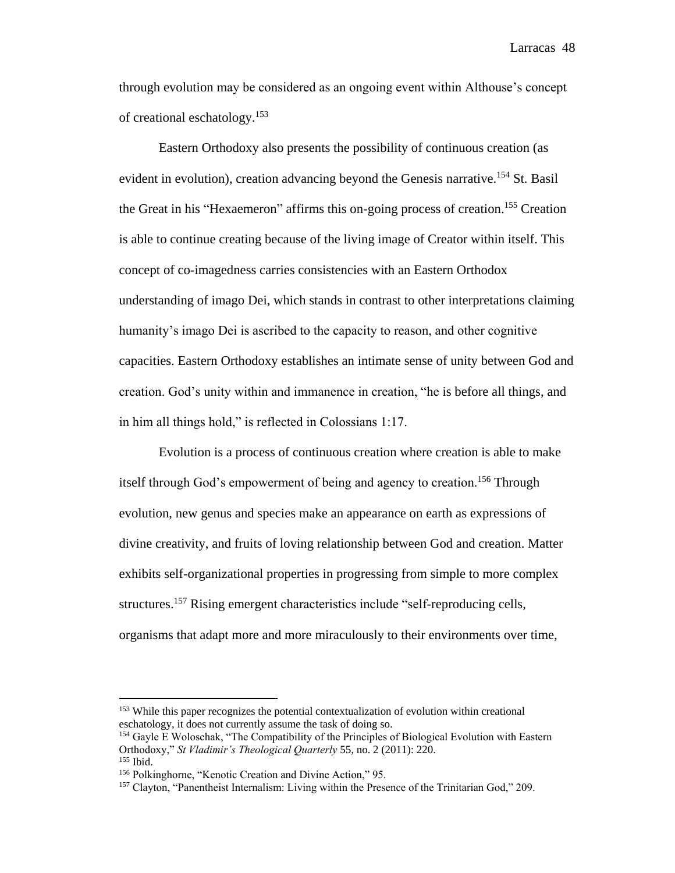through evolution may be considered as an ongoing event within Althouse's concept of creational eschatology.<sup>153</sup>

Eastern Orthodoxy also presents the possibility of continuous creation (as evident in evolution), creation advancing beyond the Genesis narrative.<sup>154</sup> St. Basil the Great in his "Hexaemeron" affirms this on-going process of creation.<sup>155</sup> Creation is able to continue creating because of the living image of Creator within itself. This concept of co-imagedness carries consistencies with an Eastern Orthodox understanding of imago Dei, which stands in contrast to other interpretations claiming humanity's imago Dei is ascribed to the capacity to reason, and other cognitive capacities. Eastern Orthodoxy establishes an intimate sense of unity between God and creation. God's unity within and immanence in creation, "he is before all things, and in him all things hold," is reflected in Colossians 1:17.

Evolution is a process of continuous creation where creation is able to make itself through God's empowerment of being and agency to creation.<sup>156</sup> Through evolution, new genus and species make an appearance on earth as expressions of divine creativity, and fruits of loving relationship between God and creation. Matter exhibits self-organizational properties in progressing from simple to more complex structures.<sup>157</sup> Rising emergent characteristics include "self-reproducing cells, organisms that adapt more and more miraculously to their environments over time,

<sup>&</sup>lt;sup>153</sup> While this paper recognizes the potential contextualization of evolution within creational eschatology, it does not currently assume the task of doing so.

<sup>154</sup> Gayle E Woloschak, "The Compatibility of the Principles of Biological Evolution with Eastern Orthodoxy," *St Vladimir's Theological Quarterly* 55, no. 2 (2011): 220. <sup>155</sup> Ibid.

<sup>156</sup> Polkinghorne, "Kenotic Creation and Divine Action," 95.

<sup>&</sup>lt;sup>157</sup> Clayton, "Panentheist Internalism: Living within the Presence of the Trinitarian God," 209.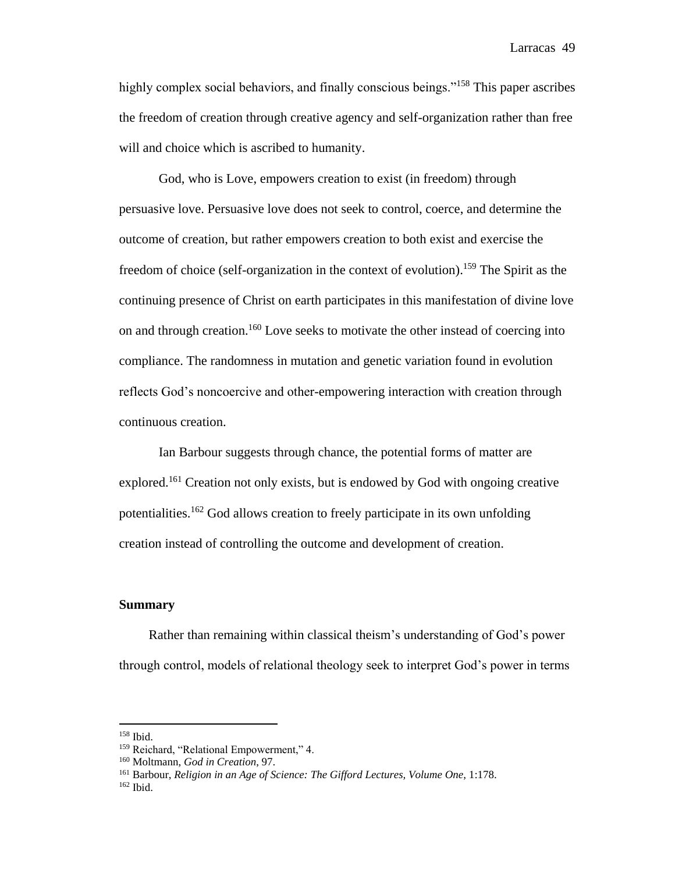highly complex social behaviors, and finally conscious beings."<sup>158</sup> This paper ascribes the freedom of creation through creative agency and self-organization rather than free will and choice which is ascribed to humanity.

God, who is Love, empowers creation to exist (in freedom) through persuasive love. Persuasive love does not seek to control, coerce, and determine the outcome of creation, but rather empowers creation to both exist and exercise the freedom of choice (self-organization in the context of evolution). <sup>159</sup> The Spirit as the continuing presence of Christ on earth participates in this manifestation of divine love on and through creation.<sup>160</sup> Love seeks to motivate the other instead of coercing into compliance. The randomness in mutation and genetic variation found in evolution reflects God's noncoercive and other-empowering interaction with creation through continuous creation.

Ian Barbour suggests through chance, the potential forms of matter are explored.<sup>161</sup> Creation not only exists, but is endowed by God with ongoing creative potentialities.<sup>162</sup> God allows creation to freely participate in its own unfolding creation instead of controlling the outcome and development of creation.

## **Summary**

 Rather than remaining within classical theism's understanding of God's power through control, models of relational theology seek to interpret God's power in terms

<sup>158</sup> Ibid.

<sup>159</sup> Reichard, "Relational Empowerment," 4.

<sup>160</sup> Moltmann, *God in Creation*, 97.

<sup>161</sup> Barbour, *Religion in an Age of Science: The Gifford Lectures, Volume One*, 1:178.

<sup>162</sup> Ibid.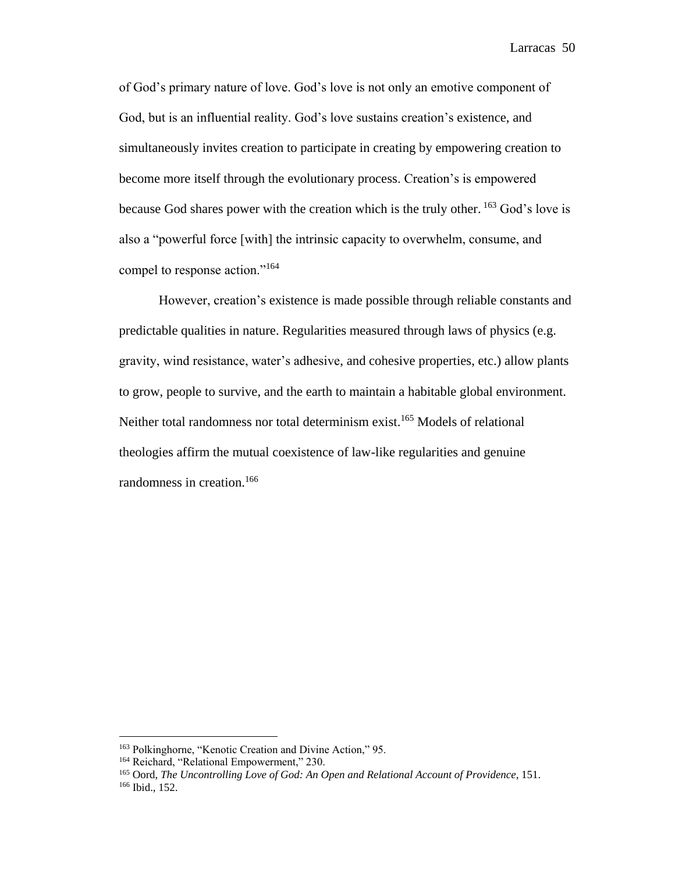of God's primary nature of love. God's love is not only an emotive component of God, but is an influential reality. God's love sustains creation's existence, and simultaneously invites creation to participate in creating by empowering creation to become more itself through the evolutionary process. Creation's is empowered because God shares power with the creation which is the truly other.  $^{163}$  God's love is also a "powerful force [with] the intrinsic capacity to overwhelm, consume, and compel to response action."<sup>164</sup>

However, creation's existence is made possible through reliable constants and predictable qualities in nature. Regularities measured through laws of physics (e.g. gravity, wind resistance, water's adhesive, and cohesive properties, etc.) allow plants to grow, people to survive, and the earth to maintain a habitable global environment. Neither total randomness nor total determinism exist.<sup>165</sup> Models of relational theologies affirm the mutual coexistence of law-like regularities and genuine randomness in creation.<sup>166</sup>

<sup>163</sup> Polkinghorne, "Kenotic Creation and Divine Action," 95.

<sup>&</sup>lt;sup>164</sup> Reichard, "Relational Empowerment," 230.

<sup>165</sup> Oord, *The Uncontrolling Love of God: An Open and Relational Account of Providence*, 151. <sup>166</sup> Ibid., 152.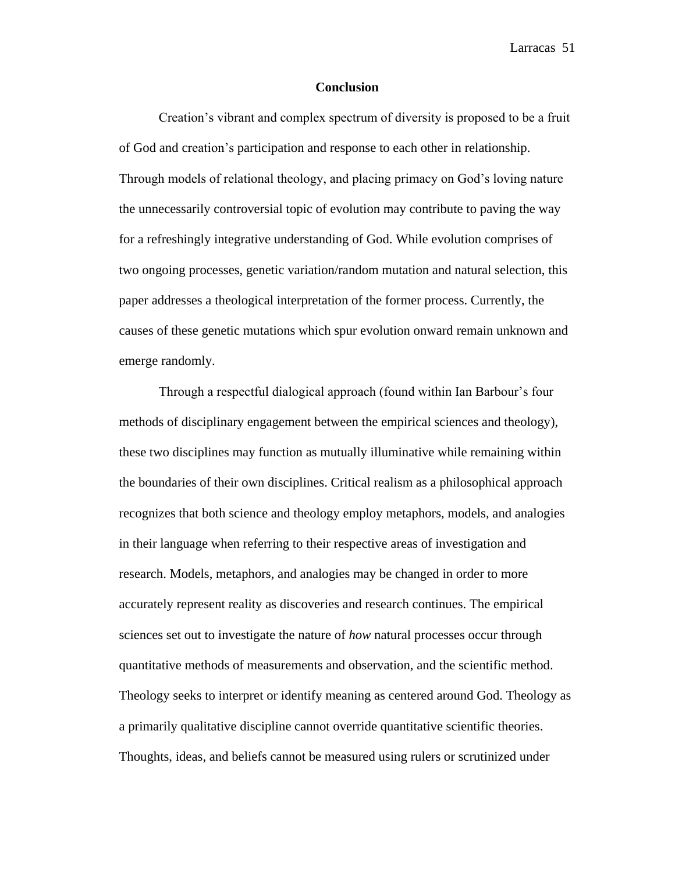## **Conclusion**

Creation's vibrant and complex spectrum of diversity is proposed to be a fruit of God and creation's participation and response to each other in relationship. Through models of relational theology, and placing primacy on God's loving nature the unnecessarily controversial topic of evolution may contribute to paving the way for a refreshingly integrative understanding of God. While evolution comprises of two ongoing processes, genetic variation/random mutation and natural selection, this paper addresses a theological interpretation of the former process. Currently, the causes of these genetic mutations which spur evolution onward remain unknown and emerge randomly.

Through a respectful dialogical approach (found within Ian Barbour's four methods of disciplinary engagement between the empirical sciences and theology), these two disciplines may function as mutually illuminative while remaining within the boundaries of their own disciplines. Critical realism as a philosophical approach recognizes that both science and theology employ metaphors, models, and analogies in their language when referring to their respective areas of investigation and research. Models, metaphors, and analogies may be changed in order to more accurately represent reality as discoveries and research continues. The empirical sciences set out to investigate the nature of *how* natural processes occur through quantitative methods of measurements and observation, and the scientific method. Theology seeks to interpret or identify meaning as centered around God. Theology as a primarily qualitative discipline cannot override quantitative scientific theories. Thoughts, ideas, and beliefs cannot be measured using rulers or scrutinized under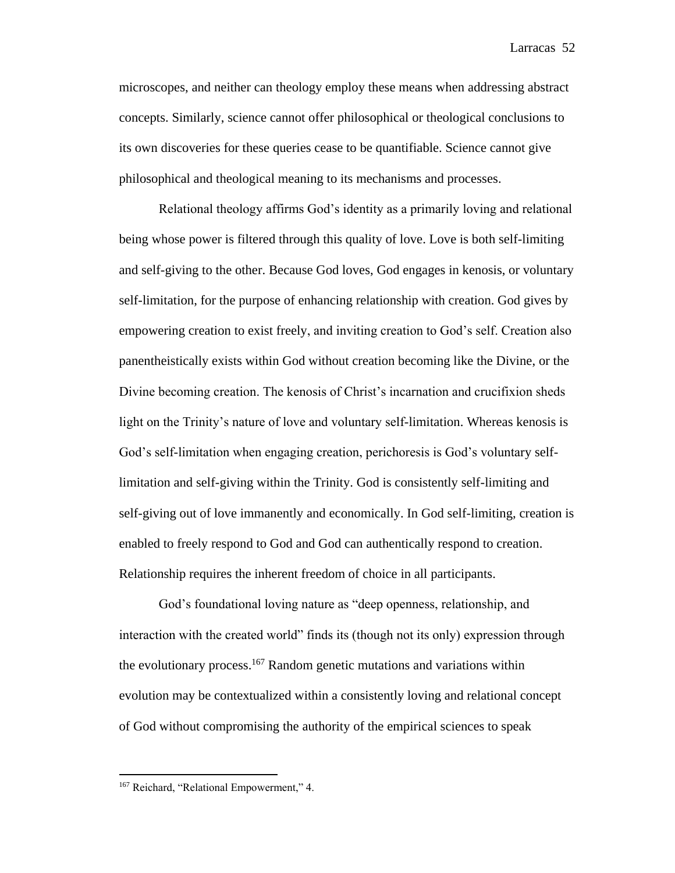microscopes, and neither can theology employ these means when addressing abstract concepts. Similarly, science cannot offer philosophical or theological conclusions to its own discoveries for these queries cease to be quantifiable. Science cannot give philosophical and theological meaning to its mechanisms and processes.

Relational theology affirms God's identity as a primarily loving and relational being whose power is filtered through this quality of love. Love is both self-limiting and self-giving to the other. Because God loves, God engages in kenosis, or voluntary self-limitation, for the purpose of enhancing relationship with creation. God gives by empowering creation to exist freely, and inviting creation to God's self. Creation also panentheistically exists within God without creation becoming like the Divine, or the Divine becoming creation. The kenosis of Christ's incarnation and crucifixion sheds light on the Trinity's nature of love and voluntary self-limitation. Whereas kenosis is God's self-limitation when engaging creation, perichoresis is God's voluntary selflimitation and self-giving within the Trinity. God is consistently self-limiting and self-giving out of love immanently and economically. In God self-limiting, creation is enabled to freely respond to God and God can authentically respond to creation. Relationship requires the inherent freedom of choice in all participants.

God's foundational loving nature as "deep openness, relationship, and interaction with the created world" finds its (though not its only) expression through the evolutionary process.<sup>167</sup> Random genetic mutations and variations within evolution may be contextualized within a consistently loving and relational concept of God without compromising the authority of the empirical sciences to speak

<sup>&</sup>lt;sup>167</sup> Reichard, "Relational Empowerment," 4.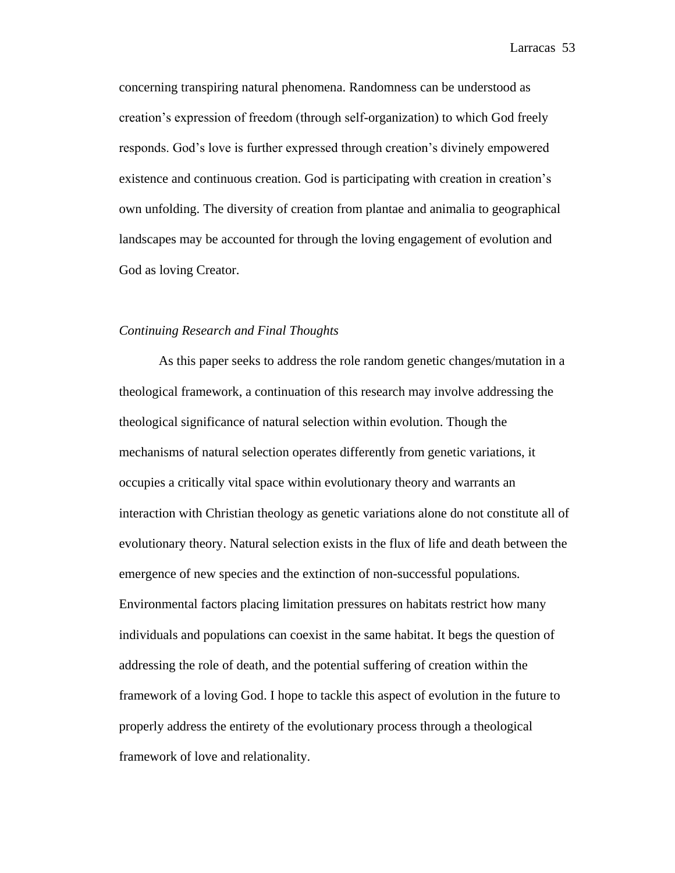concerning transpiring natural phenomena. Randomness can be understood as creation's expression of freedom (through self-organization) to which God freely responds. God's love is further expressed through creation's divinely empowered existence and continuous creation. God is participating with creation in creation's own unfolding. The diversity of creation from plantae and animalia to geographical landscapes may be accounted for through the loving engagement of evolution and God as loving Creator.

# *Continuing Research and Final Thoughts*

As this paper seeks to address the role random genetic changes/mutation in a theological framework, a continuation of this research may involve addressing the theological significance of natural selection within evolution. Though the mechanisms of natural selection operates differently from genetic variations, it occupies a critically vital space within evolutionary theory and warrants an interaction with Christian theology as genetic variations alone do not constitute all of evolutionary theory. Natural selection exists in the flux of life and death between the emergence of new species and the extinction of non-successful populations. Environmental factors placing limitation pressures on habitats restrict how many individuals and populations can coexist in the same habitat. It begs the question of addressing the role of death, and the potential suffering of creation within the framework of a loving God. I hope to tackle this aspect of evolution in the future to properly address the entirety of the evolutionary process through a theological framework of love and relationality.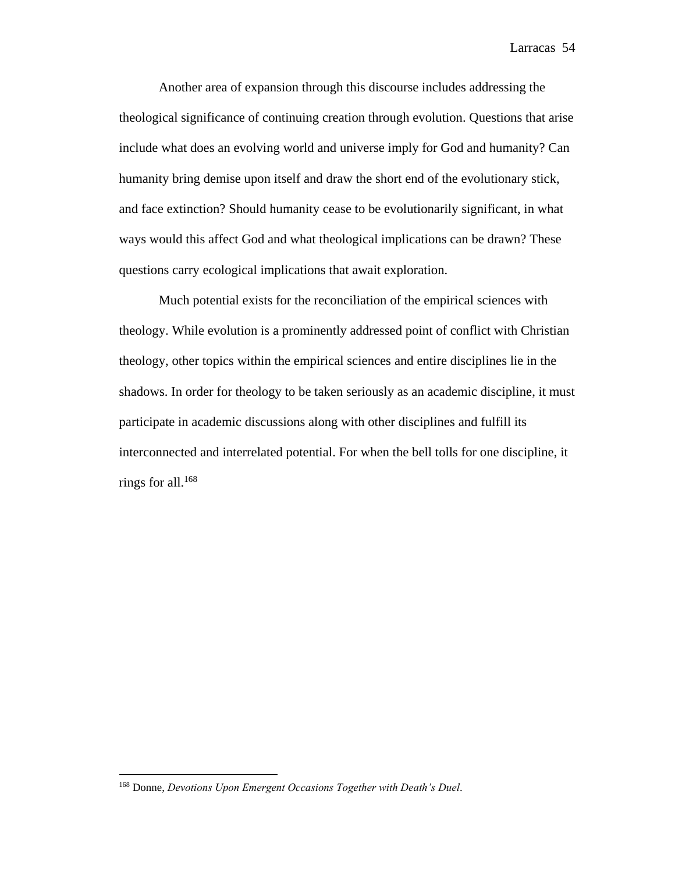Another area of expansion through this discourse includes addressing the theological significance of continuing creation through evolution. Questions that arise include what does an evolving world and universe imply for God and humanity? Can humanity bring demise upon itself and draw the short end of the evolutionary stick, and face extinction? Should humanity cease to be evolutionarily significant, in what ways would this affect God and what theological implications can be drawn? These questions carry ecological implications that await exploration.

Much potential exists for the reconciliation of the empirical sciences with theology. While evolution is a prominently addressed point of conflict with Christian theology, other topics within the empirical sciences and entire disciplines lie in the shadows. In order for theology to be taken seriously as an academic discipline, it must participate in academic discussions along with other disciplines and fulfill its interconnected and interrelated potential. For when the bell tolls for one discipline, it rings for all.<sup>168</sup>

<sup>168</sup> Donne, *Devotions Upon Emergent Occasions Together with Death's Duel*.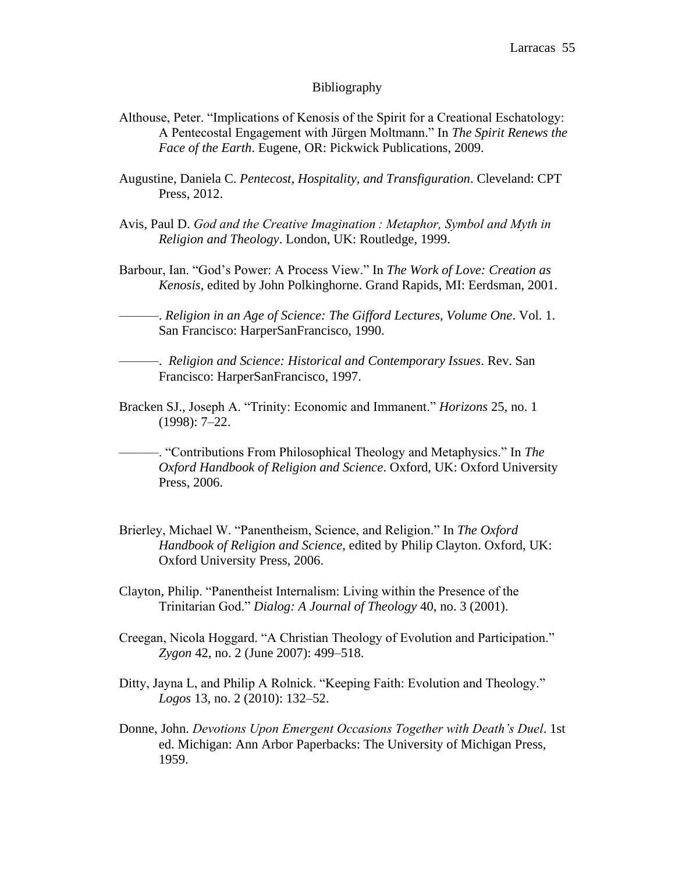#### Bibliography

- Althouse, Peter. "Implications of Kenosis of the Spirit for a Creational Eschatology: A Pentecostal Engagement with Jürgen Moltmann." In *The Spirit Renews the Face of the Earth*. Eugene, OR: Pickwick Publications, 2009.
- Augustine, Daniela C. *Pentecost, Hospitality, and Transfiguration*. Cleveland: CPT Press, 2012.
- Avis, Paul D. *God and the Creative Imagination : Metaphor, Symbol and Myth in Religion and Theology*. London, UK: Routledge, 1999.
- Barbour, Ian. "God's Power: A Process View." In *The Work of Love: Creation as Kenosis*, edited by John Polkinghorne. Grand Rapids, MI: Eerdsman, 2001.

———. *Religion in an Age of Science: The Gifford Lectures, Volume One*. Vol. 1. San Francisco: HarperSanFrancisco, 1990.

———. *Religion and Science: Historical and Contemporary Issues*. Rev. San Francisco: HarperSanFrancisco, 1997.

Bracken SJ., Joseph A. "Trinity: Economic and Immanent." *Horizons* 25, no. 1 (1998): 7–22.

———. "Contributions From Philosophical Theology and Metaphysics." In *The Oxford Handbook of Religion and Science*. Oxford, UK: Oxford University Press, 2006.

- Brierley, Michael W. "Panentheism, Science, and Religion." In *The Oxford Handbook of Religion and Science*, edited by Philip Clayton. Oxford, UK: Oxford University Press, 2006.
- Clayton, Philip. "Panentheist Internalism: Living within the Presence of the Trinitarian God." *Dialog: A Journal of Theology* 40, no. 3 (2001).
- Creegan, Nicola Hoggard. "A Christian Theology of Evolution and Participation." *Zygon* 42, no. 2 (June 2007): 499–518.
- Ditty, Jayna L, and Philip A Rolnick. "Keeping Faith: Evolution and Theology." *Logos* 13, no. 2 (2010): 132–52.
- Donne, John. *Devotions Upon Emergent Occasions Together with Death's Duel*. 1st ed. Michigan: Ann Arbor Paperbacks: The University of Michigan Press, 1959.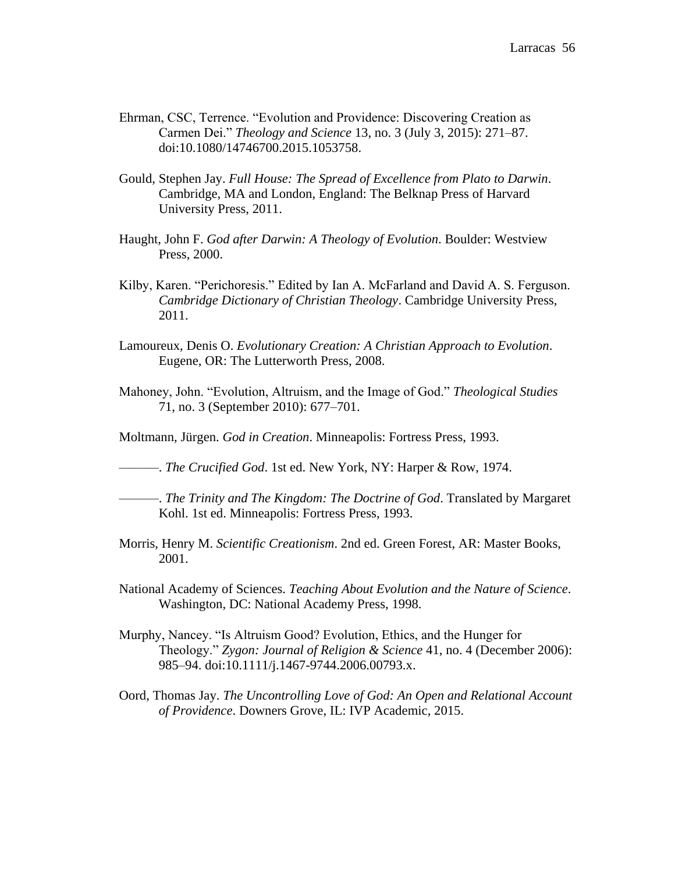- Ehrman, CSC, Terrence. "Evolution and Providence: Discovering Creation as Carmen Dei." *Theology and Science* 13, no. 3 (July 3, 2015): 271–87. doi:10.1080/14746700.2015.1053758.
- Gould, Stephen Jay. *Full House: The Spread of Excellence from Plato to Darwin*. Cambridge, MA and London, England: The Belknap Press of Harvard University Press, 2011.
- Haught, John F. *God after Darwin: A Theology of Evolution*. Boulder: Westview Press, 2000.
- Kilby, Karen. "Perichoresis." Edited by Ian A. McFarland and David A. S. Ferguson. *Cambridge Dictionary of Christian Theology*. Cambridge University Press, 2011.
- Lamoureux, Denis O. *Evolutionary Creation: A Christian Approach to Evolution*. Eugene, OR: The Lutterworth Press, 2008.
- Mahoney, John. "Evolution, Altruism, and the Image of God." *Theological Studies* 71, no. 3 (September 2010): 677–701.
- Moltmann, Jürgen. *God in Creation*. Minneapolis: Fortress Press, 1993.
- ———. *The Crucified God*. 1st ed. New York, NY: Harper & Row, 1974.
- ———. *The Trinity and The Kingdom: The Doctrine of God*. Translated by Margaret Kohl. 1st ed. Minneapolis: Fortress Press, 1993.
- Morris, Henry M. *Scientific Creationism*. 2nd ed. Green Forest, AR: Master Books, 2001.
- National Academy of Sciences. *Teaching About Evolution and the Nature of Science*. Washington, DC: National Academy Press, 1998.
- Murphy, Nancey. "Is Altruism Good? Evolution, Ethics, and the Hunger for Theology." *Zygon: Journal of Religion & Science* 41, no. 4 (December 2006): 985–94. doi:10.1111/j.1467-9744.2006.00793.x.
- Oord, Thomas Jay. *The Uncontrolling Love of God: An Open and Relational Account of Providence*. Downers Grove, IL: IVP Academic, 2015.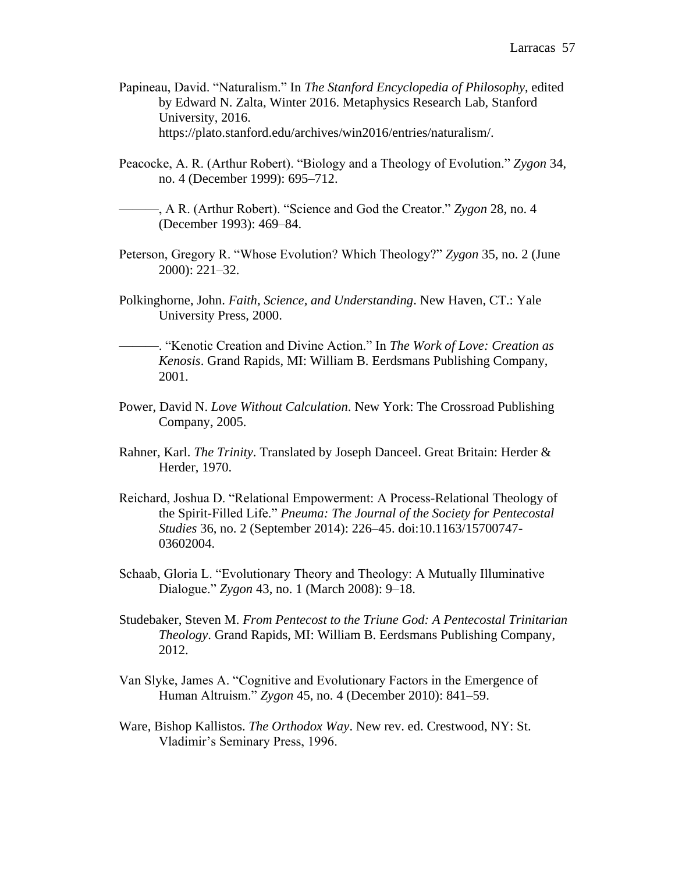- Papineau, David. "Naturalism." In *The Stanford Encyclopedia of Philosophy*, edited by Edward N. Zalta, Winter 2016. Metaphysics Research Lab, Stanford University, 2016. https://plato.stanford.edu/archives/win2016/entries/naturalism/.
- Peacocke, A. R. (Arthur Robert). "Biology and a Theology of Evolution." *Zygon* 34, no. 4 (December 1999): 695–712.
- ———, A R. (Arthur Robert). "Science and God the Creator." *Zygon* 28, no. 4 (December 1993): 469–84.
- Peterson, Gregory R. "Whose Evolution? Which Theology?" *Zygon* 35, no. 2 (June 2000): 221–32.
- Polkinghorne, John. *Faith, Science, and Understanding*. New Haven, CT.: Yale University Press, 2000.
- ———. "Kenotic Creation and Divine Action." In *The Work of Love: Creation as Kenosis*. Grand Rapids, MI: William B. Eerdsmans Publishing Company, 2001.
- Power, David N. *Love Without Calculation*. New York: The Crossroad Publishing Company, 2005.
- Rahner, Karl. *The Trinity*. Translated by Joseph Danceel. Great Britain: Herder & Herder, 1970.
- Reichard, Joshua D. "Relational Empowerment: A Process-Relational Theology of the Spirit-Filled Life." *Pneuma: The Journal of the Society for Pentecostal Studies* 36, no. 2 (September 2014): 226–45. doi:10.1163/15700747- 03602004.
- Schaab, Gloria L. "Evolutionary Theory and Theology: A Mutually Illuminative Dialogue." *Zygon* 43, no. 1 (March 2008): 9–18.
- Studebaker, Steven M. *From Pentecost to the Triune God: A Pentecostal Trinitarian Theology*. Grand Rapids, MI: William B. Eerdsmans Publishing Company, 2012.
- Van Slyke, James A. "Cognitive and Evolutionary Factors in the Emergence of Human Altruism." *Zygon* 45, no. 4 (December 2010): 841–59.
- Ware, Bishop Kallistos. *The Orthodox Way*. New rev. ed. Crestwood, NY: St. Vladimir's Seminary Press, 1996.